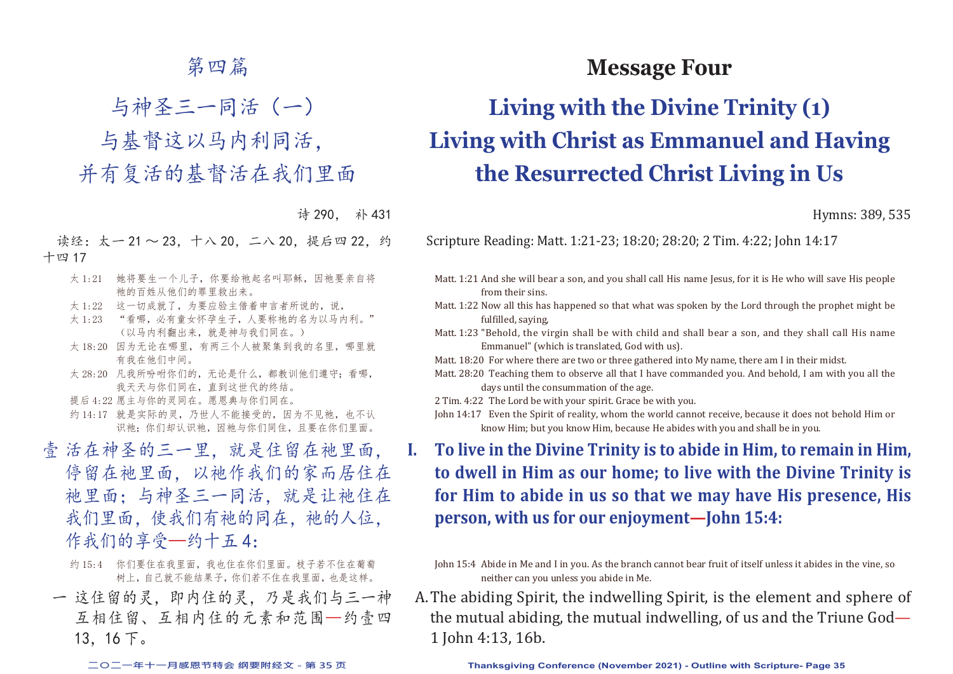## 第四篇

与神圣三一同活(一)

与基督这以马内利同活,

并有复活的基督活在我们里面

诗 290, 补 431

读经:太一 21 ~ 23, 十八 20, 二八 20, 提后四 22, 约 十四 17

- 太 1:21 她将要生一个儿子,你要给祂起名叫耶稣,因祂要亲自将 祂的百姓从他们的罪里救出来。
- 太 1:22 这一切成就了, 为要应验主借着申言者所说的, 说,
- 太 1:23 "看哪, 必有童女怀孕生子, 人要称祂的名为以马内利。" (以马内利翻出来,就是神与我们同在。)
- 太 18:20 因为无论在哪里,有两三个人被聚集到我的名里,哪里就 有我在他们中间。
- 太 28:20 凡我所吩咐你们的, 无论是什么, 都教训他们遵守; 看哪, 我天天与你们同在,直到这世代的终结。
- 提后 4:22 愿主与你的灵同在。愿恩典与你们同在。
- 约 14:17 就是实际的灵, 乃世人不能接受的, 因为不见祂, 也不认 识祂:你们却认识祂,因祂与你们同住,且要在你们里面。
- 壹 活在神圣的三一里,就是住留在祂里面, 停留在祂里面,以祂作我们的家而居住在 祂里面;与神圣三一同活,就是让祂住在 我们里面,使我们有祂的同在,祂的人位, 作我们的享受—约十五4:
	- 约 15:4 你们要住在我里面,我也住在你们里面。枝子若不住在葡萄 树上,自己就不能结果子,你们若不住在我里面,也是这样。
	- 一 这住留的灵,即内住的灵,乃是我们与三一神 互相住留、互相内住的元素和范围—约壹四 13,16 下。

**Message Four**

# **Living with the Divine Trinity (1) Living with Christ as Emmanuel and Having the Resurrected Christ Living in Us**

Hymns: 389, 535

Scripture Reading: Matt. 1:21-23; 18:20; 28:20; 2 Tim. 4:22; John 14:17

- Matt. 1:21 And she will bear a son, and you shall call His name Jesus, for it is He who will save His people from their sins.
- Matt. 1:22 Now all this has happened so that what was spoken by the Lord through the prophet might be fulfilled, saying,
- Matt. 1:23 "Behold, the virgin shall be with child and shall bear a son, and they shall call His name Emmanuel" (which is translated, God with us).
- Matt. 18:20 For where there are two or three gathered into My name, there am I in their midst.
- Matt. 28:20 Teaching them to observe all that I have commanded you. And behold, I am with you all the days until the consummation of the age.
- 2 Tim. 4:22 The Lord be with your spirit. Grace be with you.
- John 14:17 Even the Spirit of reality, whom the world cannot receive, because it does not behold Him or know Him; but you know Him, because He abides with you and shall be in you.
- **I. To live in the Divine Trinity is to abide in Him, to remain in Him, to dwell in Him as our home; to live with the Divine Trinity is for Him to abide in us so that we may have His presence, His person, with us for our enjoyment—John 15:4:**

John 15:4 Abide in Me and I in you. As the branch cannot bear fruit of itself unless it abides in the vine, so neither can you unless you abide in Me.

A. The abiding Spirit, the indwelling Spirit, is the element and sphere of the mutual abiding, the mutual indwelling, of us and the Triune God— 1 John 4:13, 16b.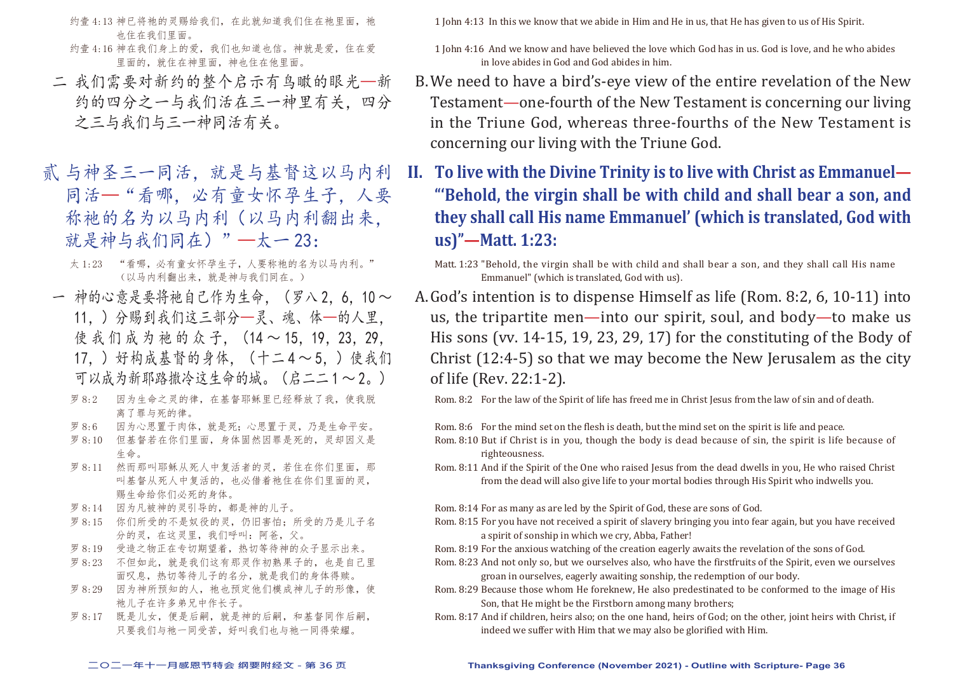- 约壹 4:13 神已将祂的灵赐给我们, 在此就知道我们住在祂里面, 祂 也住在我们里面。
- 约壹 4:16 神在我们身上的爱,我们也知道也信。神就是爱,住在爱 里面的,就住在神里面,神也住在他里面。
- 二 我们需要对新约的整个启示有鸟瞰的眼光—新 约的四分之一与我们活在三一神里有关,四分 之三与我们与三一神同活有关。
- 贰 与神圣三一同活, 就是与基督这以马内利 同活—"看哪,必有童女怀孕生子,人要 称祂的名为以马内利(以马内利翻出来, 就是神与我们同在)"—太一23:
	- 太 1:23 "看哪,必有童女怀孕生子,人要称祂的名为以马内利。" (以马内利翻出来,就是神与我们同在。)
- 一 神的心意是要将祂自己作为生命, (罗八 2,6,10 ~ 11,)分赐到我们这三部分—灵、魂、体—的人里, 使 我 们 成 为 祂 的 众 子, (14 ~ 15, 19, 23, 29, 17,)好构成基督的身体,(十二 4 ~ 5,)使我们 可以成为新耶路撒冷这生命的城。(启二二1~2。)
	- 罗 8:2 因为生命之灵的律,在基督耶稣里已经释放了我,使我脱 离了罪与死的律。
	- 罗 8:6 因为心思置于肉体,就是死;心思置于灵,乃是生命平安。
	- 罗 8:10 但基督若在你们里面,身体固然因罪是死的,灵却因义是 生命。
	- 罗 8:11 然而那叫耶稣从死人中复活者的灵,若住在你们里面,那 叫基督从死人中复活的,也必借着祂住在你们里面的灵, 赐生命给你们必死的身体。
	- 罗 8:14 因为凡被神的灵引导的,都是神的儿子。
	- 罗 8:15 你们所受的不是奴役的灵, 仍旧害怕; 所受的乃是儿子名 分的灵,在这灵里,我们呼叫:阿爸,父。
	- 罗 8:19 受造之物正在专切期望着,热切等待神的众子显示出来。
	- 罗 8:23 不但如此,就是我们这有那灵作初熟果子的,也是自己里 面叹息,热切等待儿子的名分,就是我们的身体得赎。
	- 罗 8:29 因为神所预知的人, 祂也预定他们模成神儿子的形像, 使 祂儿子在许多弟兄中作长子。
	- 罗 8:17 既是儿女,便是后嗣,就是神的后嗣,和基督同作后嗣, 只要我们与祂一同受苦,好叫我们也与祂一同得荣耀。

1 John 4:13 In this we know that we abide in Him and He in us, that He has given to us of His Spirit.

- 1 John 4:16 And we know and have believed the love which God has in us. God is love, and he who abides in love abides in God and God abides in him.
- B. We need to have a bird's-eye view of the entire revelation of the New Testament—one-fourth of the New Testament is concerning our living in the Triune God, whereas three-fourths of the New Testament is concerning our living with the Triune God.
- **II. To live with the Divine Trinity is to live with Christ as Emmanuel— "'Behold, the virgin shall be with child and shall bear a son, and they shall call His name Emmanuel' (which is translated, God with us)"—Matt. 1:23:**

Matt. 1:23 "Behold, the virgin shall be with child and shall bear a son, and they shall call His name Emmanuel" (which is translated, God with us).

A. God's intention is to dispense Himself as life (Rom. 8:2, 6, 10-11) into us, the tripartite men—into our spirit, soul, and body—to make us His sons (vv. 14-15, 19, 23, 29, 17) for the constituting of the Body of Christ (12:4-5) so that we may become the New Jerusalem as the city of life (Rev. 22:1-2).

Rom. 8:2 For the law of the Spirit of life has freed me in Christ Jesus from the law of sin and of death.

Rom. 8:6 For the mind set on the flesh is death, but the mind set on the spirit is life and peace.

- Rom. 8:10 But if Christ is in you, though the body is dead because of sin, the spirit is life because of righteousness.
- Rom. 8:11 And if the Spirit of the One who raised Jesus from the dead dwells in you, He who raised Christ from the dead will also give life to your mortal bodies through His Spirit who indwells you.

Rom. 8:14 For as many as are led by the Spirit of God, these are sons of God.

- Rom. 8:15 For you have not received a spirit of slavery bringing you into fear again, but you have received a spirit of sonship in which we cry, Abba, Father!
- Rom. 8:19 For the anxious watching of the creation eagerly awaits the revelation of the sons of God.
- Rom. 8:23 And not only so, but we ourselves also, who have the firstfruits of the Spirit, even we ourselves groan in ourselves, eagerly awaiting sonship, the redemption of our body.
- Rom. 8:29 Because those whom He foreknew, He also predestinated to be conformed to the image of His Son, that He might be the Firstborn among many brothers;
- Rom. 8:17 And if children, heirs also; on the one hand, heirs of God; on the other, joint heirs with Christ, if indeed we suffer with Him that we may also be glorified with Him.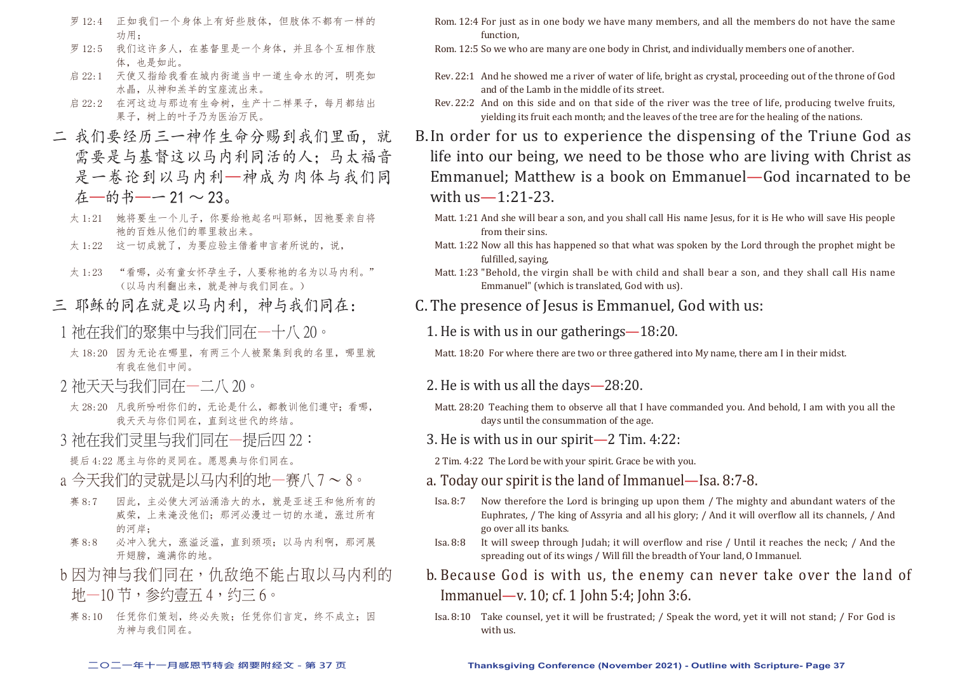- 罗 12:4 正如我们一个身体上有好些肢体,但肢体不都有一样的 功用;
- 罗 12:5 我们这许多人,在基督里是一个身体,并且各个互相作肢 体,也是如此。
- 启 22:1 天使又指给我看在城内街道当中一道生命水的河,明亮如 水晶,从神和羔羊的宝座流出来。
- 启 22:2 在河这边与那边有生命树,生产十二样果子,每月都结出 果子,树上的叶子乃为医治万民。
- 二 我们要经历三一神作生命分赐到我们里面,就 需要是与基督这以马内利同活的人;马太福音 是一卷论到以马内利—神成为肉体与我们同 在—的书—— 21 ~ 23。
	- 太 1:21 她将要生一个儿子,你要给祂起名叫耶稣,因祂要亲自将 祂的百姓从他们的罪里救出来。
	- 太 1:22 这一切成就了,为要应验主借着申言者所说的,说,
	- 太1:23 "看哪,必有童女怀孕生子,人要称祂的名为以马内利。" (以马内利翻出来,就是神与我们同在。)
- 三 耶稣的同在就是以马内利, 神与我们同在:
- 1 衪在我们的聚集中与我们同在—十八 20。
- 太 18:20 因为无论在哪里,有两三个人被聚集到我的名里,哪里就 有我在他们中间。
- 2 祂天天与我们同在一二八 20。
- 太 28:20 凡我所吩咐你们的, 无论是什么, 都教训他们遵守; 看哪, 我天天与你们同在,直到这世代的终结。
- 3 祂在我们灵里与我们同在一提后四 22:
- 提后 4:22 愿主与你的灵同在。愿恩典与你们同在。
- a 今天我们的灵就是以马内利的地一赛八 7 ~ 8。
- 赛 8:7 因此,主必使大河汹涌浩大的水,就是亚述王和他所有的 威荣,上来淹没他们;那河必漫过一切的水道,涨过所有 的河岸;
- 赛 8:8 必冲入犹大,涨溢泛滥,直到颈项;以马内利啊,那河展 开翅膀,遍满你的地。
- b 因为神与我们同在,仇敌绝不能占取以马内利的 地—10 节,参约壹五 4,约三 6。
- 赛 8:10 任凭你们策划,终必失败;任凭你们言定,终不成立;因 为神与我们同在。
- Rom. 12:4 For just as in one body we have many members, and all the members do not have the same function,
- Rom. 12:5 So we who are many are one body in Christ, and individually members one of another.
- Rev. 22:1 And he showed me a river of water of life, bright as crystal, proceeding out of the throne of God and of the Lamb in the middle of its street.
- Rev. 22:2 And on this side and on that side of the river was the tree of life, producing twelve fruits, yielding its fruit each month; and the leaves of the tree are for the healing of the nations.
- B. In order for us to experience the dispensing of the Triune God as life into our being, we need to be those who are living with Christ as Emmanuel; Matthew is a book on Emmanuel—God incarnated to be with us—1:21-23.
	- Matt. 1:21 And she will bear a son, and you shall call His name Jesus, for it is He who will save His people from their sins.
	- Matt. 1:22 Now all this has happened so that what was spoken by the Lord through the prophet might be fulfilled, saying,
	- Matt. 1:23 "Behold, the virgin shall be with child and shall bear a son, and they shall call His name Emmanuel" (which is translated, God with us).
- C. The presence of Jesus is Emmanuel, God with us:
	- 1. He is with us in our gatherings—18:20.

Matt. 18:20 For where there are two or three gathered into My name, there am I in their midst.

- 2. He is with us all the days 28:20.
- Matt. 28:20 Teaching them to observe all that I have commanded you. And behold, I am with you all the days until the consummation of the age.
- 3. He is with us in our spirit—2 Tim. 4:22:
- 2 Tim. 4:22 The Lord be with your spirit. Grace be with you.
- a. Today our spirit is the land of Immanuel—Isa. 8:7-8.
- Isa. 8:7 Now therefore the Lord is bringing up upon them / The mighty and abundant waters of the Euphrates, / The king of Assyria and all his glory; / And it will overflow all its channels, / And go over all its banks.
- Isa. 8:8 It will sweep through Judah; it will overflow and rise / Until it reaches the neck; / And the spreading out of its wings / Will fill the breadth of Your land, O Immanuel.
- b. Because God is with us, the enemy can never take over the land of Immanuel—v. 10; cf. 1 John 5:4; John 3:6.
- Isa. 8:10 Take counsel, yet it will be frustrated; / Speak the word, yet it will not stand; / For God is with us.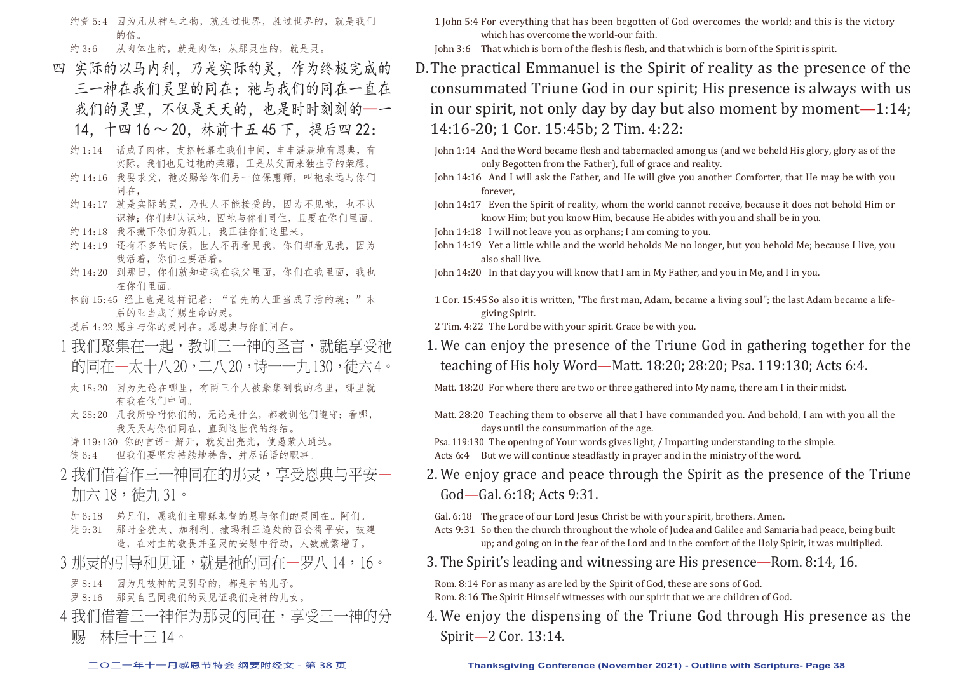约壹 5:4 因为凡从神生之物, 就胜过世界, 胜过世界的, 就是我们 的信。

约 3:6 从肉体生的, 就是肉体; 从那灵生的, 就是灵。

- 四 实际的以马内利,乃是实际的灵,作为终极完成的 三一神在我们灵里的同在;祂与我们的同在一直在 我们的灵里,不仅是天天的,也是时时刻刻的—一 14,十四 16 ~ 20,林前十五 45 下,提后四 22:
	- 约 1:14 话成了肉体,支搭帐幕在我们中间,丰丰满满地有恩典,有 实际。我们也见过祂的荣耀,正是从父而来独生子的荣耀。
	- 约 14:16 我要求父, 祂必赐给你们另一位保惠师, 叫祂永远与你们 同在,
	- 约 14:17 就是实际的灵,乃世人不能接受的,因为不见祂,也不认 识祂;你们却认识祂,因祂与你们同住,且要在你们里面。
	- 约 14:18 我不撇下你们为孤儿, 我正往你们这里来。
	- 约 14:19 还有不多的时候,世人不再看见我,你们却看见我,因为 我活着,你们也要活着。
	- 约 14:20 到那日, 你们就知道我在我父里面, 你们在我里面, 我也 在你们里面。
	- 林前 15:45 经上也是这样记着: "首先的人亚当成了活的魂;"末 后的亚当成了赐生命的灵。
	- 提后 4:22 愿主与你的灵同在。愿恩典与你们同在。
- 1 我们聚集在一起,教训三一神的圣言,就能享受祂 的同在—太十八 20, 二八 20, 诗——九 130, 徒六 4。
- 太 18:20 因为无论在哪里,有两三个人被聚集到我的名里,哪里就 有我在他们中间。
- 太 28:20 凡我所吩咐你们的,无论是什么,都教训他们遵守;看哪, 我天天与你们同在,直到这世代的终结。
- 诗 119:130 你的言语一解开,就发出亮光,使愚蒙人通达。 徒 6:4 但我们要坚定持续地祷告,并尽话语的职事。
- 2 我们借着作三一神同在的那灵,享受恩典与平安一 加六 18,徒九 31。
	- 加 6:18 弟兄们,愿我们主耶稣基督的恩与你们的灵同在。阿们。
- 徒 9:31 那时全犹太、加利利、撒玛利亚遍处的召会得平安,被建 造,在对主的敬畏并圣灵的安慰中行动,人数就繁增了。
- 3 那灵的引导和见证,就是祂的同在一罗八 14,16。
	- 罗 8:14 因为凡被神的灵引导的,都是神的儿子。
	- 罗 8:16 那灵自己同我们的灵见证我们是神的儿女。
- 4 我们借着三一神作为那灵的同在,享受三一神的分 赐—林后十三 14。
- 1 John 5:4 For everything that has been begotten of God overcomes the world; and this is the victory which has overcome the world-our faith.
- John 3:6 That which is born of the flesh is flesh, and that which is born of the Spirit is spirit.
- D. The practical Emmanuel is the Spirit of reality as the presence of the consummated Triune God in our spirit; His presence is always with us in our spirit, not only day by day but also moment by moment— $1:14$ ; 14:16-20; 1 Cor. 15:45b; 2 Tim. 4:22:
	- John 1:14 And the Word became flesh and tabernacled among us (and we beheld His glory, glory as of the only Begotten from the Father), full of grace and reality.
	- John 14:16 And I will ask the Father, and He will give you another Comforter, that He may be with you forever,
	- John 14:17 Even the Spirit of reality, whom the world cannot receive, because it does not behold Him or know Him; but you know Him, because He abides with you and shall be in you.
	- John 14:18 I will not leave you as orphans; I am coming to you.
	- John 14:19 Yet a little while and the world beholds Me no longer, but you behold Me; because I live, you also shall live.
	- John 14:20 In that day you will know that I am in My Father, and you in Me, and I in you.
	- 1 Cor. 15:45 So also it is written, "The first man, Adam, became a living soul"; the last Adam became a lifegiving Spirit.
	- 2 Tim. 4:22 The Lord be with your spirit. Grace be with you.
	- 1. We can enjoy the presence of the Triune God in gathering together for the teaching of His holy Word—Matt. 18:20; 28:20; Psa. 119:130; Acts 6:4.
	- Matt. 18:20 For where there are two or three gathered into My name, there am I in their midst.
	- Matt. 28:20 Teaching them to observe all that I have commanded you. And behold, I am with you all the days until the consummation of the age.
	- Psa. 119:130 The opening of Your words gives light, / Imparting understanding to the simple. Acts 6:4 But we will continue steadfastly in prayer and in the ministry of the word.
	- 2. We enjoy grace and peace through the Spirit as the presence of the Triune God—Gal. 6:18; Acts 9:31.
		- Gal. 6:18 The grace of our Lord Jesus Christ be with your spirit, brothers. Amen.
		- Acts 9:31 So then the church throughout the whole of Judea and Galilee and Samaria had peace, being built up; and going on in the fear of the Lord and in the comfort of the Holy Spirit, it was multiplied.
	- 3. The Spirit's leading and witnessing are His presence—Rom. 8:14, 16.

Rom. 8:14 For as many as are led by the Spirit of God, these are sons of God. Rom. 8:16 The Spirit Himself witnesses with our spirit that we are children of God.

4. We enjoy the dispensing of the Triune God through His presence as the Spirit—2 Cor. 13:14.

#### **二○二一年十一月感恩节特会 纲要附经文 - 第 38 页 Thanksgiving Conference (November 2021) - Outline with Scripture- Page 38**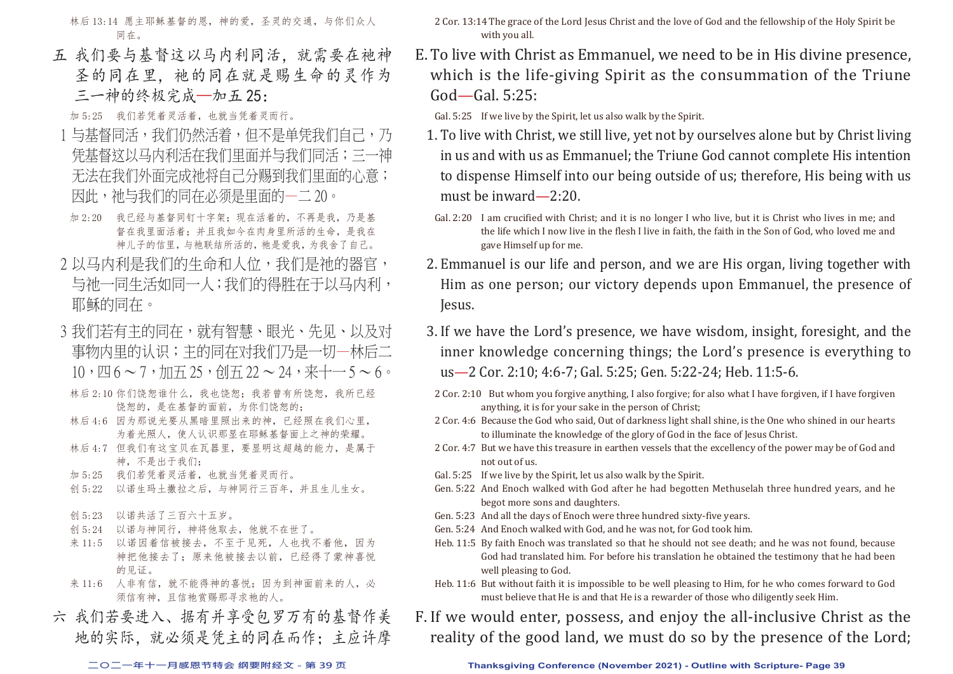林后 13:14 愿主耶稣基督的恩,神的爱,圣灵的交通,与你们众人 同在。

五 我们要与基督这以马内利同活, 就需要在祂神 圣的同在里,祂的同在就是赐生命的灵作为 三一神的终极完成—加五 25:

加 5:25 我们若凭着灵活着,也就当凭着灵而行。

- 1 与基督同活,我们仍然活着,但不是单凭我们自己,乃 凭基督这以马内利活在我们里面并与我们同活;三一神 无法在我们外面完成祂将自己分赐到我们里面的心意; 因此,祂与我们的同在必须是里面的一二 20。
- 加 2:20 我已经与基督同钉十字架;现在活着的,不再是我,乃是基 督在我里面活着;并且我如今在肉身里所活的生命,是我在 神儿子的信里,与祂联结所活的,祂是爱我,为我舍了自己。
- 2 以马内利是我们的生命和人位,我们是祂的器官, 与祂一同生活如同一人;我们的得胜在于以马内利, 耶稣的同在。
- 3 我们若有主的同在,就有智慧、眼光、先见、以及对 事物内里的认识;主的同在对我们乃是一切—林后二  $10, \overline{u}6 \sim 7, \overline{m}7.25, \overline{d}77.22 \sim 24.3$
- 林后 2:10 你们饶恕谁什么,我也饶恕;我若曾有所饶恕,我所已经 饶恕的,是在基督的面前,为你们饶恕的;
- 林后 4:6 因为那说光要从黑暗里照出来的神,已经照在我们心里, 为着光照人,使人认识那显在耶稣基督面上之神的荣耀。
- 林后 4:7 但我们有这宝贝在瓦器里,要显明这超越的能力,是属于 神,不是出于我们;
- 加 5:25 我们若凭着灵活着,也就当凭着灵而行。
- 创 5:22 以诺生玛+撒拉之后,与神同行三百年,并且生儿生女。
- 创 5:23 以诺共活了三百六十五岁。
- 创 5:24 以诺与神同行,神将他取去,他就不在世了。
- 来 11:5 以诺因着信被接去,不至于见死,人也找不着他,因为 神把他接去了;原来他被接去以前,已经得了蒙神喜悦 的见证。
- 来 11:6 人非有信,就不能得神的喜悦;因为到神面前来的人,必 须信有神,且信祂赏赐那寻求祂的人。
- 六 我们若要进入、据有并享受包罗万有的基督作美 地的实际,就必须是凭主的同在而作;主应许摩

2 Cor. 13:14 The grace of the Lord Jesus Christ and the love of God and the fellowship of the Holy Spirit be with you all.

E. To live with Christ as Emmanuel, we need to be in His divine presence, which is the life-giving Spirit as the consummation of the Triune God—Gal. 5:25:

Gal. 5:25 If we live by the Spirit, let us also walk by the Spirit.

- 1. To live with Christ, we still live, yet not by ourselves alone but by Christ living in us and with us as Emmanuel; the Triune God cannot complete His intention to dispense Himself into our being outside of us; therefore, His being with us must be inward—2:20.
- Gal. 2:20 I am crucified with Christ; and it is no longer I who live, but it is Christ who lives in me; and the life which I now live in the flesh I live in faith, the faith in the Son of God, who loved me and gave Himself up for me.
- 2. Emmanuel is our life and person, and we are His organ, living together with Him as one person; our victory depends upon Emmanuel, the presence of Jesus.
- 3. If we have the Lord's presence, we have wisdom, insight, foresight, and the inner knowledge concerning things; the Lord's presence is everything to us—2 Cor. 2:10; 4:6-7; Gal. 5:25; Gen. 5:22-24; Heb. 11:5-6.
- 2 Cor. 2:10 But whom you forgive anything, I also forgive; for also what I have forgiven, if I have forgiven anything, it is for your sake in the person of Christ;
- 2 Cor. 4:6 Because the God who said, Out of darkness light shall shine, is the One who shined in our hearts to illuminate the knowledge of the glory of God in the face of Jesus Christ.
- 2 Cor. 4:7 But we have this treasure in earthen vessels that the excellency of the power may be of God and not out of us.
- Gal. 5:25 If we live by the Spirit, let us also walk by the Spirit.
- Gen. 5:22 And Enoch walked with God after he had begotten Methuselah three hundred years, and he begot more sons and daughters.
- Gen. 5:23 And all the days of Enoch were three hundred sixty-five years.
- Gen. 5:24 And Enoch walked with God, and he was not, for God took him.
- Heb. 11:5 By faith Enoch was translated so that he should not see death; and he was not found, because God had translated him. For before his translation he obtained the testimony that he had been well pleasing to God.
- Heb. 11:6 But without faith it is impossible to be well pleasing to Him, for he who comes forward to God must believe that He is and that He is a rewarder of those who diligently seek Him.
- F. If we would enter, possess, and enjoy the all-inclusive Christ as the reality of the good land, we must do so by the presence of the Lord;

#### **二○二一年十一月感恩节特会 纲要附经文 - 第 39 页 Thanksgiving Conference (November 2021) - Outline with Scripture- Page 39**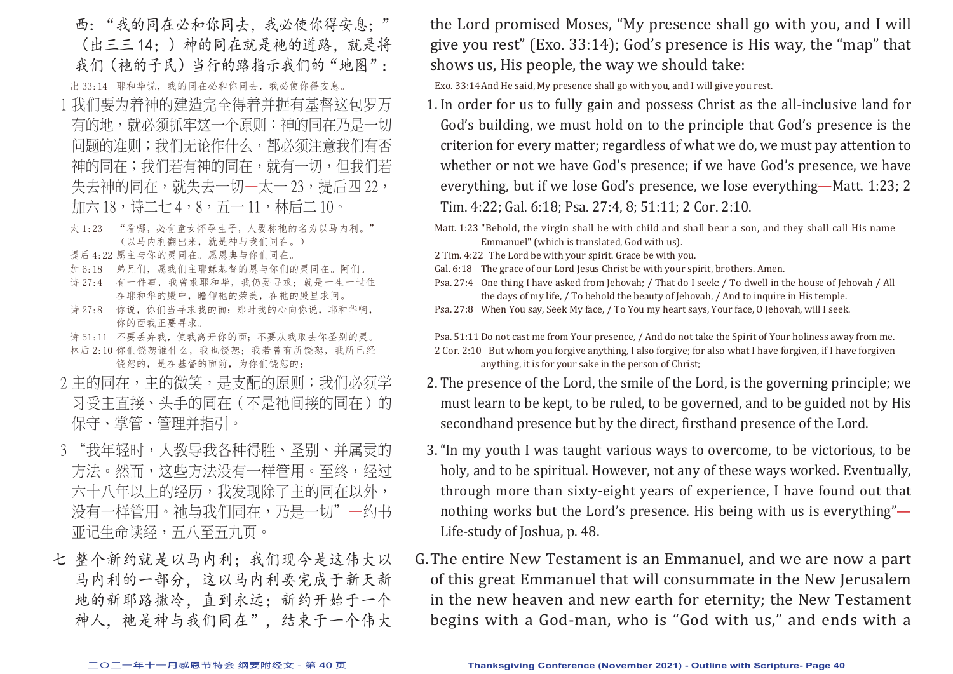- 西:"我的同在必和你同去,我必使你得安息;" (出三三 14;)神的同在就是祂的道路,就是将 我们(祂的子民)当行的路指示我们的"地图": 出 33:14 耶和华说,我的同在必和你同去,我必使你得安息。
- 1 我们要为着神的建造完全得着并据有基督这包罗万 有的地,就必须抓牢这一个原则:神的同在乃是一切 问题的准则;我们无论作什么,都必须注意我们有否 神的同在;我们若有神的同在,就有一切,但我们若 失去神的同在,就失去一切一太一 23,提后四 22, 加六 18,诗二七 4,8,五一 11,林后二 10。
- 太1:23 "看哪,必有童女怀孕生子,人要称祂的名为以马内利。" (以马内利翻出来,就是神与我们同在。)
- 提后 4:22 愿主与你的灵同在。愿恩典与你们同在。
- 加 6:18 弟兄们,愿我们主耶稣基督的恩与你们的灵同在。阿们。
- 诗 27:4 有一件事, 我曾求耶和华, 我仍要寻求; 就是一生一世住 在耶和华的殿中,瞻仰祂的荣美,在祂的殿里求问。
- 诗 27:8 你说, 你们当寻求我的面; 那时我的心向你说, 耶和华啊, 你的面我正要寻求。
- 诗 51:11 不要丢弃我, 使我离开你的面; 不要从我取去你圣别的灵。 林后 2:10 你们饶恕谁什么,我也饶恕;我若曾有所饶恕,我所已经 饶恕的,是在基督的面前,为你们饶恕的;
- 2 主的同在,主的微笑,是支配的原则;我们必须学 习受主直接、头手的同在(不是祂间接的同在)的 保守、掌管、管理并指引。
- 3 "我年轻时,人教导我各种得胜、圣别、并属灵的 方法。然而,这些方法没有一样管用。至终,经过 六十八年以上的经历,我发现除了主的同在以外, 没有一样管用。祂与我们同在,乃是一切"一约书 亚记生命读经,五八至五九页。
- 七 整个新约就是以马内利: 我们现今是这伟大以 马内利的一部分,这以马内利要完成于新天新 地的新耶路撒冷,直到永远;新约开始于一个 神人, 祂是神与我们同在", 结束于一个伟大

the Lord promised Moses, "My presence shall go with you, and I will give you rest" (Exo. 33:14); God's presence is His way, the "map" that shows us, His people, the way we should take:

Exo. 33:14 And He said, My presence shall go with you, and I will give you rest.

- 1. In order for us to fully gain and possess Christ as the all-inclusive land for God's building, we must hold on to the principle that God's presence is the criterion for every matter; regardless of what we do, we must pay attention to whether or not we have God's presence; if we have God's presence, we have everything, but if we lose God's presence, we lose everything—Matt. 1:23; 2 Tim. 4:22; Gal. 6:18; Psa. 27:4, 8; 51:11; 2 Cor. 2:10.
- Matt. 1:23 "Behold, the virgin shall be with child and shall bear a son, and they shall call His name Emmanuel" (which is translated, God with us).
- 2 Tim. 4:22 The Lord be with your spirit. Grace be with you.
- Gal. 6:18 The grace of our Lord Jesus Christ be with your spirit, brothers. Amen.
- Psa. 27:4 One thing I have asked from Jehovah; / That do I seek: / To dwell in the house of Jehovah / All the days of my life, / To behold the beauty of Jehovah, / And to inquire in His temple.
- Psa. 27:8 When You say, Seek My face, / To You my heart says, Your face, O Jehovah, will I seek.

Psa. 51:11 Do not cast me from Your presence, / And do not take the Spirit of Your holiness away from me. 2 Cor. 2:10 But whom you forgive anything, I also forgive; for also what I have forgiven, if I have forgiven anything, it is for your sake in the person of Christ;

- 2. The presence of the Lord, the smile of the Lord, is the governing principle; we must learn to be kept, to be ruled, to be governed, and to be guided not by His secondhand presence but by the direct, firsthand presence of the Lord.
- 3. "In my youth I was taught various ways to overcome, to be victorious, to be holy, and to be spiritual. However, not any of these ways worked. Eventually, through more than sixty-eight years of experience, I have found out that nothing works but the Lord's presence. His being with us is everything"— Life-study of Joshua, p. 48.
- G. The entire New Testament is an Emmanuel, and we are now a part of this great Emmanuel that will consummate in the New Jerusalem in the new heaven and new earth for eternity; the New Testament begins with a God-man, who is "God with us," and ends with a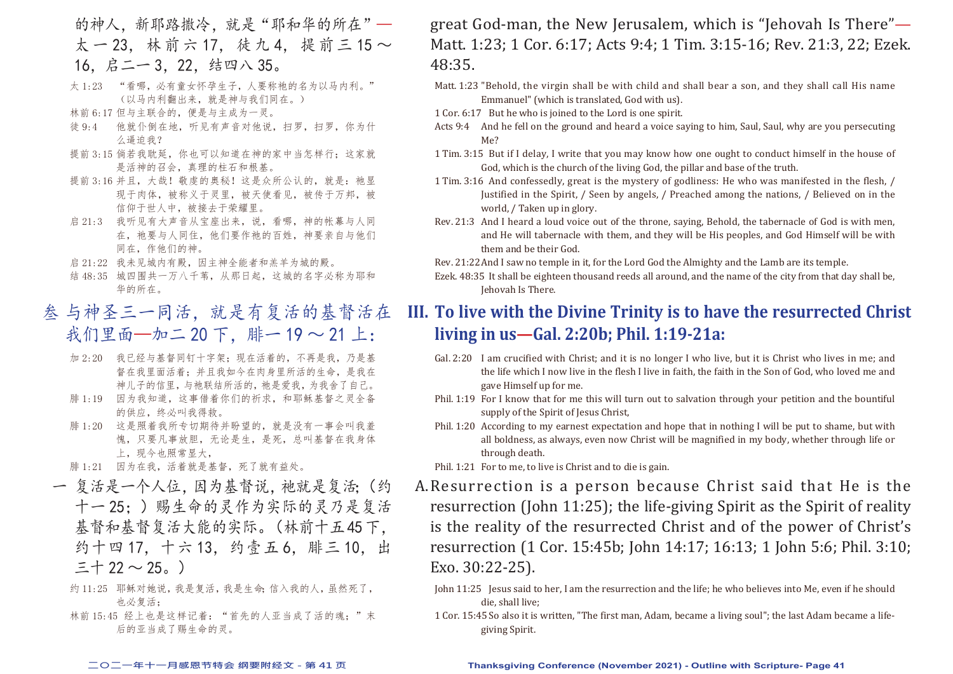- 的神人,新耶路撒冷,就是"耶和华的所在"一 太 一 23. 林 前 六 17. 徒 九 4. 提 前 三 15 ~ 16,启二一 3,22,结四八 35。
- 太1:23 "看哪,必有童女怀孕生子,人要称祂的名为以马内利。" (以马内利翻出来,就是神与我们同在。)
- 林前 6:17 但与主联合的,便是与主成为一灵。
- 徒 9:4 他就仆倒在地,听见有声音对他说,扫罗,扫罗,你为什 么逼迫我?
- 提前 3:15 倘若我耽延, 你也可以知道在神的家中当怎样行: 这家就 是活神的召会,真理的柱石和根基。
- 提前 3:16 并且,大哉!敬虔的奥秘!这是众所公认的,就是:祂显 现于肉体,被称义于灵里,被天使看见,被传于万邦,被 信仰于世人中,被接去于荣耀里。
- 启 21:3 我听见有大声音从宝座出来,说,看哪,神的帐幕与人同 在, 祂要与人同住, 他们要作祂的百姓, 神要亲自与他们 同在,作他们的神。
- 启 21:22 我未见城内有殿,因主神全能者和羔羊为城的殿。
- 结 48:35 城四围共一万八千苇, 从那日起, 这城的名字必称为耶和 华的所在。
- 叁 与神圣三一同活,就是有复活的基督活在 我们里面—加二 20 下, 腓一 19 ~ 21 上:
	- 加 2:20 我已经与基督同钉十字架;现在活着的,不再是我,乃是基 督在我里面活着;并且我如今在肉身里所活的生命,是我在 神儿子的信里,与祂联结所活的,祂是爱我,为我舍了自己。
	- 腓 1:19 因为我知道,这事借着你们的祈求,和耶稣基督之灵全备 的供应,终必叫我得救。
	- 腓 1:20 这是照着我所专切期待并盼望的,就是没有一事会叫我羞 愧,只要凡事放胆,无论是生,是死,总叫基督在我身体 上,现今也照常显大,
	- 腓 1:21 因为在我,活着就是基督,死了就有益处。
- 一 复活是一个人位,因为基督说,祂就是复活;(约 十一 25;)赐生命的灵作为实际的灵乃是复活 基督和基督复活大能的实际。(林前十五 45 下, 约十四 17, 十六 13, 约壹五 6, 腓三 10, 出  $=$  † 22  $\sim$  25。)
	- 约 11:25 耶稣对她说,我是复活,我是生命;信入我的人,虽然死了, 也必复活;
	- 林前 15:45 经上也是这样记着: "首先的人亚当成了活的魂;"末 后的亚当成了赐生命的灵。

great God-man, the New Jerusalem, which is "Jehovah Is There"— Matt. 1:23; 1 Cor. 6:17; Acts 9:4; 1 Tim. 3:15-16; Rev. 21:3, 22; Ezek. 48:35.

- Matt. 1:23 "Behold, the virgin shall be with child and shall bear a son, and they shall call His name Emmanuel" (which is translated, God with us).
- 1 Cor. 6:17 But he who is joined to the Lord is one spirit.
- Acts 9:4 And he fell on the ground and heard a voice saying to him, Saul, Saul, why are you persecuting Me?
- 1 Tim. 3:15 But if I delay, I write that you may know how one ought to conduct himself in the house of God, which is the church of the living God, the pillar and base of the truth.
- 1 Tim. 3:16 And confessedly, great is the mystery of godliness: He who was manifested in the flesh, / Justified in the Spirit, / Seen by angels, / Preached among the nations, / Believed on in the world, / Taken up in glory.
- Rev. 21:3 And I heard a loud voice out of the throne, saying, Behold, the tabernacle of God is with men, and He will tabernacle with them, and they will be His peoples, and God Himself will be with them and be their God.

Rev. 21:22 And I saw no temple in it, for the Lord God the Almighty and the Lamb are its temple.

Ezek. 48:35 It shall be eighteen thousand reeds all around, and the name of the city from that day shall be, Jehovah Is There.

## **III. To live with the Divine Trinity is to have the resurrected Christ living in us—Gal. 2:20b; Phil. 1:19-21a:**

- Gal. 2:20 I am crucified with Christ; and it is no longer I who live, but it is Christ who lives in me; and the life which I now live in the flesh I live in faith, the faith in the Son of God, who loved me and gave Himself up for me.
- Phil. 1:19 For I know that for me this will turn out to salvation through your petition and the bountiful supply of the Spirit of Jesus Christ,
- Phil. 1:20 According to my earnest expectation and hope that in nothing I will be put to shame, but with all boldness, as always, even now Christ will be magnified in my body, whether through life or through death.
- Phil. 1:21 For to me, to live is Christ and to die is gain.
- A. Resurrection is a person because Christ said that He is the resurrection (John 11:25); the life-giving Spirit as the Spirit of reality is the reality of the resurrected Christ and of the power of Christ's resurrection (1 Cor. 15:45b; John 14:17; 16:13; 1 John 5:6; Phil. 3:10; Exo. 30:22-25).
	- John 11:25 Jesus said to her, I am the resurrection and the life; he who believes into Me, even if he should die, shall live;
	- 1 Cor. 15:45 So also it is written, "The first man, Adam, became a living soul"; the last Adam became a lifegiving Spirit.

#### **二○二一年十一月感恩节特会 纲要附经文 - 第 41 页 Thanksgiving Conference (November 2021) - Outline with Scripture- Page 41**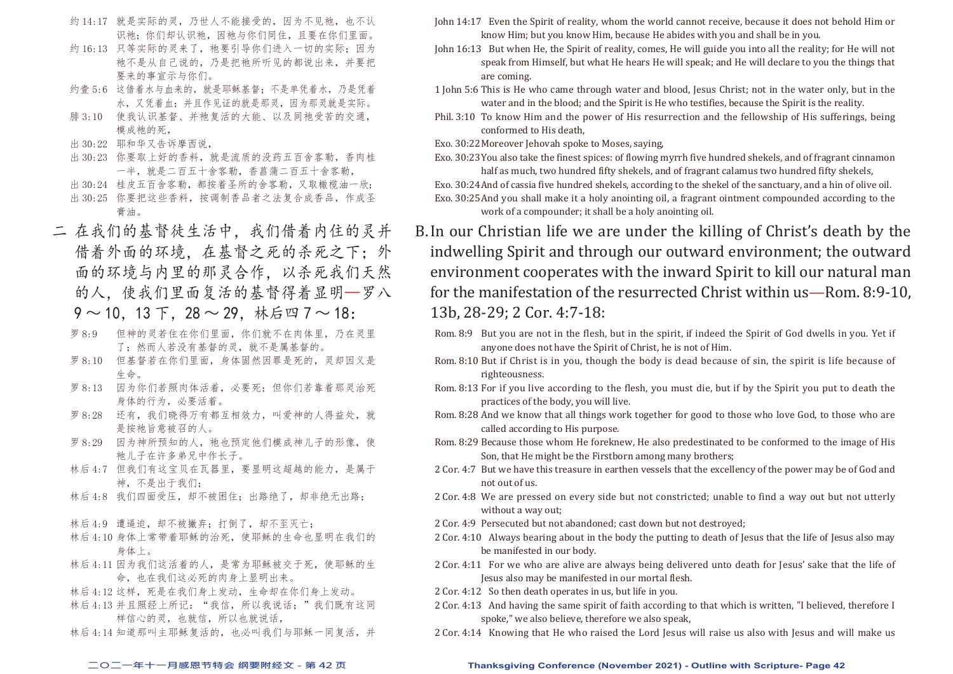- 约 14:17 就是实际的灵,乃世人不能接受的,因为不见祂,也不认 识祂;你们却认识祂,因祂与你们同住,且要在你们里面。
- 约 16:13 只等实际的灵来了, 祂要引导你们进入一切的实际; 因为 祂不是从自己说的,乃是把祂所听见的都说出来,并要把 要来的事宣示与你们。
- 约壹 5:6 这借着水与血来的,就是耶稣基督;不是单凭着水,乃是凭着 水,又凭着血;并且作见证的就是那灵,因为那灵就是实际。
- 腓 3:10 使我认识基督、并祂复活的大能、以及同祂受苦的交通, 模成祂的死,
- 出 30:22 耶和华又告诉摩西说,
- 出 30:23 你要取上好的香料,就是流质的没药五百舍客勒,香肉桂 一半,就是二百五十舍客勒,香菖蒲二百五十舍客勒,
- 出 30:24 桂皮五百舍客勒, 都按着圣所的舍客勒, 又取橄榄油一欣;
- 出 30:25 你要把这些香料,按调制香品者之法复合成香品,作成圣 膏油。
- 二 在我们的基督徒生活中,我们借着内住的灵并 借着外面的环境,在基督之死的杀死之下;外 面的环境与内里的那灵合作,以杀死我们天然 的人,使我们里面复活的基督得着显明—罗八  $9 \sim 10$ , 13 下, 28 ~ 29, 林后四 7 ~ 18:
	- 罗 8:9 但神的灵若住在你们里面,你们就不在肉体里,乃在灵里 了;然而人若没有基督的灵,就不是属基督的。
	- 罗 8:10 但基督若在你们里面,身体固然因罪是死的,灵却因义是 生命。
	- 罗 8:13 因为你们若照肉体活着,必要死;但你们若靠着那灵治死 身体的行为,必要活着。
	- 罗 8:28 还有, 我们晓得万有都互相效力, 叫爱神的人得益处, 就 是按祂旨意被召的人。
	- 罗 8:29 因为神所预知的人,祂也预定他们模成神儿子的形像, 使 祂儿子在许多弟兄中作长子。
	- 林后 4:7 但我们有这宝贝在瓦器里,要显明这超越的能力,是属于 神,不是出于我们;
	- 林后 4:8 我们四面受压,却不被困住;出路绝了,却非绝无出路;
	- 林后 4:9 遭逼迫, 却不被撇弃; 打倒了, 却不至灭亡;
	- 林后 4:10 身体上常带着耶稣的治死,使耶稣的生命也显明在我们的 身体上。
	- 林后 4:11 因为我们这活着的人,是常为耶稣被交于死,使耶稣的生 命,也在我们这必死的肉身上显明出来。
	- 林后 4:12 这样,死是在我们身上发动,生命却在你们身上发动。
	- 林后 4:13 并且照经上所记: "我信,所以我说话;"我们既有这同 样信心的灵,也就信,所以也就说话,
	- 林后 4:14 知道那叫主耶稣复活的, 也必叫我们与耶稣一同复活, 并
- John 14:17 Even the Spirit of reality, whom the world cannot receive, because it does not behold Him or know Him; but you know Him, because He abides with you and shall be in you.
- John 16:13 But when He, the Spirit of reality, comes, He will guide you into all the reality; for He will not speak from Himself, but what He hears He will speak; and He will declare to you the things that are coming.
- 1 John 5:6 This is He who came through water and blood, Jesus Christ; not in the water only, but in the water and in the blood; and the Spirit is He who testifies, because the Spirit is the reality.
- Phil. 3:10 To know Him and the power of His resurrection and the fellowship of His sufferings, being conformed to His death,
- Exo. 30:22 Moreover Jehovah spoke to Moses, saying,
- Exo. 30:23 You also take the finest spices: of flowing myrrh five hundred shekels, and of fragrant cinnamon half as much, two hundred fifty shekels, and of fragrant calamus two hundred fifty shekels, Exo. 30:24And of cassia five hundred shekels, according to the shekel of the sanctuary, and a hin of olive oil.
- Exo. 30:25 And you shall make it a holy anointing oil, a fragrant ointment compounded according to the work of a compounder; it shall be a holy anointing oil.
- B. In our Christian life we are under the killing of Christ's death by the indwelling Spirit and through our outward environment; the outward environment cooperates with the inward Spirit to kill our natural man for the manifestation of the resurrected Christ within us—Rom. 8:9-10, 13b, 28-29; 2 Cor. 4:7-18:
	- Rom. 8:9 But you are not in the flesh, but in the spirit, if indeed the Spirit of God dwells in you. Yet if anyone does not have the Spirit of Christ, he is not of Him.
	- Rom. 8:10 But if Christ is in you, though the body is dead because of sin, the spirit is life because of righteousness.
	- Rom. 8:13 For if you live according to the flesh, you must die, but if by the Spirit you put to death the practices of the body, you will live.
	- Rom. 8:28 And we know that all things work together for good to those who love God, to those who are called according to His purpose.
	- Rom. 8:29 Because those whom He foreknew, He also predestinated to be conformed to the image of His Son, that He might be the Firstborn among many brothers;
	- 2 Cor. 4:7 But we have this treasure in earthen vessels that the excellency of the power may be of God and not out of us.
	- 2 Cor. 4:8 We are pressed on every side but not constricted; unable to find a way out but not utterly without a way out;
	- 2 Cor. 4:9 Persecuted but not abandoned: cast down but not destroyed:
	- 2 Cor. 4:10 Always bearing about in the body the putting to death of Jesus that the life of Jesus also may be manifested in our body.
	- 2 Cor. 4:11 For we who are alive are always being delivered unto death for Jesus' sake that the life of Jesus also may be manifested in our mortal flesh.
	- 2 Cor. 4:12 So then death operates in us, but life in you.
	- 2 Cor. 4:13 And having the same spirit of faith according to that which is written, "I believed, therefore I spoke," we also believe, therefore we also speak,
	- 2 Cor. 4:14 Knowing that He who raised the Lord Jesus will raise us also with Jesus and will make us

#### **二○二一年十一月感恩节特会 纲要附经文 - 第 42 页 Thanksgiving Conference (November 2021) - Outline with Scripture- Page 42**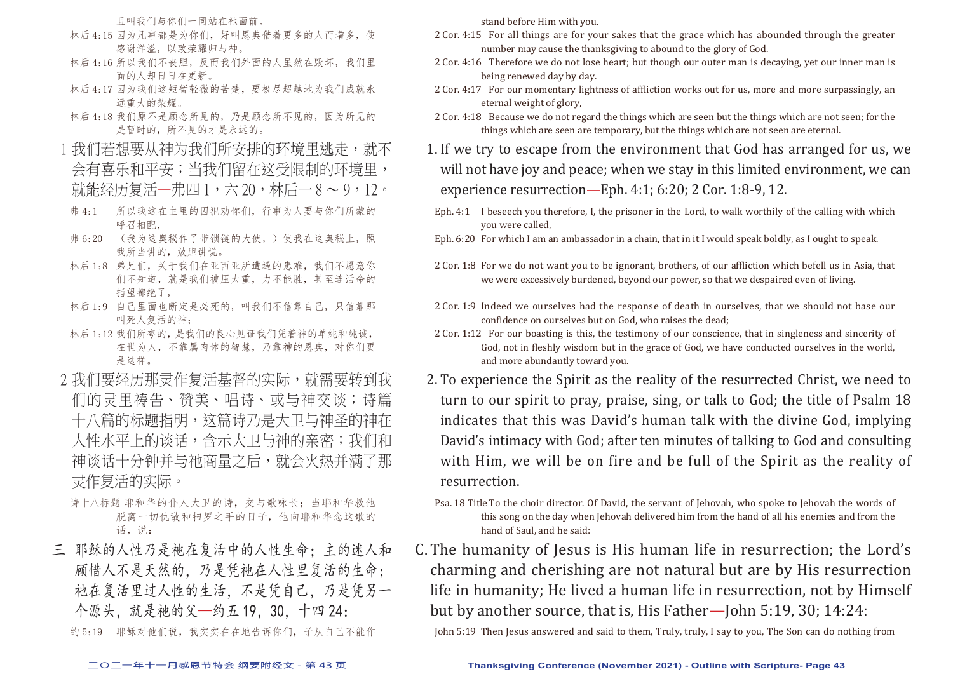且叫我们与你们一同站在祂面前。

- 林后 4:15 因为凡事都是为你们, 好叫恩典借着更多的人而增多, 使 感谢洋溢,以致荣耀归与神。
- 林后 4:16 所以我们不丧胆,反而我们外面的人虽然在毁坏,我们里 面的人却日日在更新。
- 林后 4:17 因为我们这短暂轻微的苦楚,要极尽超越地为我们成就永 远重大的荣耀。
- 林后 4:18 我们原不是顾念所见的,乃是顾念所不见的,因为所见的 是暂时的,所不见的才是永远的。
- 1 我们若想要从神为我们所安排的环境里逃走,就不 会有喜乐和平安;当我们留在这受限制的环境里, 就能经历复活一弗四 1,六 20,林后一 8 ~ 9, 12。
- 弗 4:1 所以我这在主里的囚犯劝你们,行事为人要与你们所蒙的 呼召相配,
- 弗 6:20 (我为这奥秘作了带锁链的大使,)使我在这奥秘上,照 我所当讲的,放胆讲说。
- 林后 1:8 弟兄们,关于我们在亚西亚所遭遇的患难,我们不愿意你 们不知道,就是我们被压太重,力不能胜,甚至连活命的 指望都绝了,
- 林后 1:9 自己里面也断定是必死的,叫我们不信靠自己,只信靠那 叫死人复活的神;
- 林后 1:12 我们所夸的,是我们的良心见证我们凭着神的单纯和纯诚, 在世为人,不靠属肉体的智慧,乃靠神的恩典,对你们更 是这样。
- 2 我们要经历那灵作复活基督的实际,就需要转到我 们的灵里祷告、赞美、唱诗、或与神交谈;诗篇 十八篇的标题指明,这篇诗乃是大卫与神圣的神在 人性水平上的谈话,含示大卫与神的亲密;我们和 神谈话十分钟并与祂商量之后,就会火热并满了那 灵作复活的实际。
	- 诗十八标题 耶和华的仆人大卫的诗, 交与歌咏长; 当耶和华救他 脱离一切仇敌和扫罗之手的日子,他向耶和华念这歌的 话, 说:
- 三 耶稣的人性乃是祂在复活中的人性生命;主的迷人和 顾惜人不是天然的,乃是凭祂在人性里复活的生命; 祂在复活里过人性的生活,不是凭自己,乃是凭另一 个源头,就是祂的父—约五 19,30,十四 24:

约 5:19 耶稣对他们说,我实实在在地告诉你们,子从自己不能作

stand before Him with you.

- 2 Cor. 4:15 For all things are for your sakes that the grace which has abounded through the greater number may cause the thanksgiving to abound to the glory of God.
- 2 Cor. 4:16 Therefore we do not lose heart; but though our outer man is decaying, yet our inner man is being renewed day by day.
- 2 Cor. 4:17 For our momentary lightness of affliction works out for us, more and more surpassingly, an eternal weight of glory,
- 2 Cor. 4:18 Because we do not regard the things which are seen but the things which are not seen; for the things which are seen are temporary, but the things which are not seen are eternal.
- 1. If we try to escape from the environment that God has arranged for us, we will not have joy and peace; when we stay in this limited environment, we can experience resurrection—Eph. 4:1; 6:20; 2 Cor. 1:8-9, 12.
- Eph. 4:1 I beseech you therefore, I, the prisoner in the Lord, to walk worthily of the calling with which you were called,
- Eph. 6:20 For which I am an ambassador in a chain, that in it I would speak boldly, as I ought to speak.
- 2 Cor. 1:8 For we do not want you to be ignorant, brothers, of our affliction which befell us in Asia, that we were excessively burdened, beyond our power, so that we despaired even of living.
- 2 Cor. 1:9 Indeed we ourselves had the response of death in ourselves, that we should not base our confidence on ourselves but on God, who raises the dead;
- 2 Cor. 1:12 For our boasting is this, the testimony of our conscience, that in singleness and sincerity of God, not in fleshly wisdom but in the grace of God, we have conducted ourselves in the world, and more abundantly toward you.
- 2. To experience the Spirit as the reality of the resurrected Christ, we need to turn to our spirit to pray, praise, sing, or talk to God; the title of Psalm 18 indicates that this was David's human talk with the divine God, implying David's intimacy with God; after ten minutes of talking to God and consulting with Him, we will be on fire and be full of the Spirit as the reality of resurrection.
- Psa. 18 Title To the choir director. Of David, the servant of Jehovah, who spoke to Jehovah the words of this song on the day when Jehovah delivered him from the hand of all his enemies and from the hand of Saul, and he said:
- C. The humanity of Jesus is His human life in resurrection; the Lord's charming and cherishing are not natural but are by His resurrection life in humanity; He lived a human life in resurrection, not by Himself but by another source, that is, His Father—John 5:19, 30; 14:24:

John 5:19 Then Jesus answered and said to them, Truly, truly, I say to you, The Son can do nothing from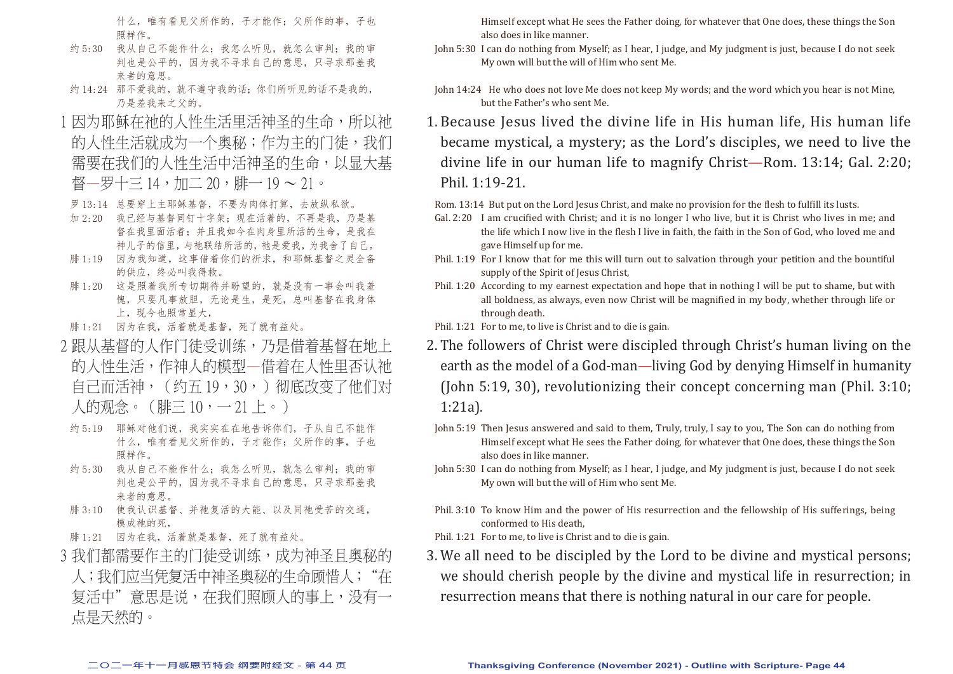什么,唯有看见父所作的,子才能作;父所作的事,子也 照样作。

- 约 5:30 我从自己不能作什么;我怎么听见,就怎么审判;我的审 判也是公平的,因为我不寻求自己的意思,只寻求那差我 来者的意思。
- 约 14:24 那不爱我的,就不遵守我的话;你们所听见的话不是我的, 乃是差我来之父的。
- 1因为耶稣在祂的人性生活里活神圣的生命,所以祂 的人性生活就成为一个奥秘;作为主的门徒,我们 需要在我们的人性生活中活神圣的生命,以显大基 督—罗十三 14,加二 20,雕— 19 ~ 21。
- 罗 13:14 总要穿上主耶稣基督,不要为肉体打算,去放纵私欲。
- 加 2:20 我已经与基督同钉十字架;现在活着的,不再是我,乃是基 督在我里面活着;并且我如今在肉身里所活的生命,是我在 神儿子的信里,与祂联结所活的,祂是爱我,为我舍了自己。
- 腓 1:19 因为我知道,这事借着你们的祈求,和耶稣基督之灵全备 的供应,终必叫我得救。
- 腓 1:20 这是照着我所专切期待并盼望的,就是没有一事会叫我羞 愧,只要凡事放胆,无论是生,是死,总叫基督在我身体 上,现今也照常显大,
- 腓 1:21 因为在我,活着就是基督,死了就有益处。
- 2 跟从基督的人作门徒受训练, 乃是借着基督在地上 的人性生活,作神人的模型—借着在人性里否认袖 自己而活神,(约五 19,30,)彻底改变了他们对 人的观念。(腓三 10,一 21 上。)
- 约 5:19 耶稣对他们说,我实实在在地告诉你们,子从自己不能作 什么,唯有看见父所作的,子才能作;父所作的事,子也 照样作。
- 约 5:30 我从自己不能作什么;我怎么听见,就怎么审判;我的审 判也是公平的,因为我不寻求自己的意思,只寻求那差我 来者的意思。
- 腓 3:10 使我认识基督、并祂复活的大能、以及同祂受苦的交通, 模成祂的死,
- 腓 1:21 因为在我,活着就是基督,死了就有益处。
- 3 我们都需要作主的门徒受训练,成为神圣目奥秘的 人;我们应当凭复活中神圣奥秘的生命顾惜人;"在 复活中"意思是说,在我们照顾人的事上,没有一 点是天然的。

Himself except what He sees the Father doing, for whatever that One does, these things the Son also does in like manner.

- John 5:30 I can do nothing from Myself; as I hear, I judge, and My judgment is just, because I do not seek My own will but the will of Him who sent Me.
- John 14:24 He who does not love Me does not keep My words; and the word which you hear is not Mine, but the Father's who sent Me.
- 1. Because Jesus lived the divine life in His human life, His human life became mystical, a mystery; as the Lord's disciples, we need to live the divine life in our human life to magnify Christ—Rom. 13:14; Gal. 2:20; Phil. 1:19-21.

Rom. 13:14 But put on the Lord Jesus Christ, and make no provision for the flesh to fulfill its lusts.

- Gal. 2:20 I am crucified with Christ; and it is no longer I who live, but it is Christ who lives in me; and the life which I now live in the flesh I live in faith, the faith in the Son of God, who loved me and gave Himself up for me.
- Phil. 1:19 For I know that for me this will turn out to salvation through your petition and the bountiful supply of the Spirit of Jesus Christ,
- Phil. 1:20 According to my earnest expectation and hope that in nothing I will be put to shame, but with all boldness, as always, even now Christ will be magnified in my body, whether through life or through death.
- Phil. 1:21 For to me, to live is Christ and to die is gain.
- 2. The followers of Christ were discipled through Christ's human living on the earth as the model of a God-man—living God by denying Himself in humanity (John 5:19, 30), revolutionizing their concept concerning man (Phil. 3:10; 1:21a).
- John 5:19 Then Jesus answered and said to them, Truly, truly, I say to you, The Son can do nothing from Himself except what He sees the Father doing, for whatever that One does, these things the Son also does in like manner.
- John 5:30 I can do nothing from Myself; as I hear, I judge, and My judgment is just, because I do not seek My own will but the will of Him who sent Me.
- Phil. 3:10 To know Him and the power of His resurrection and the fellowship of His sufferings, being conformed to His death,
- Phil. 1:21 For to me, to live is Christ and to die is gain.
- 3. We all need to be discipled by the Lord to be divine and mystical persons; we should cherish people by the divine and mystical life in resurrection; in resurrection means that there is nothing natural in our care for people.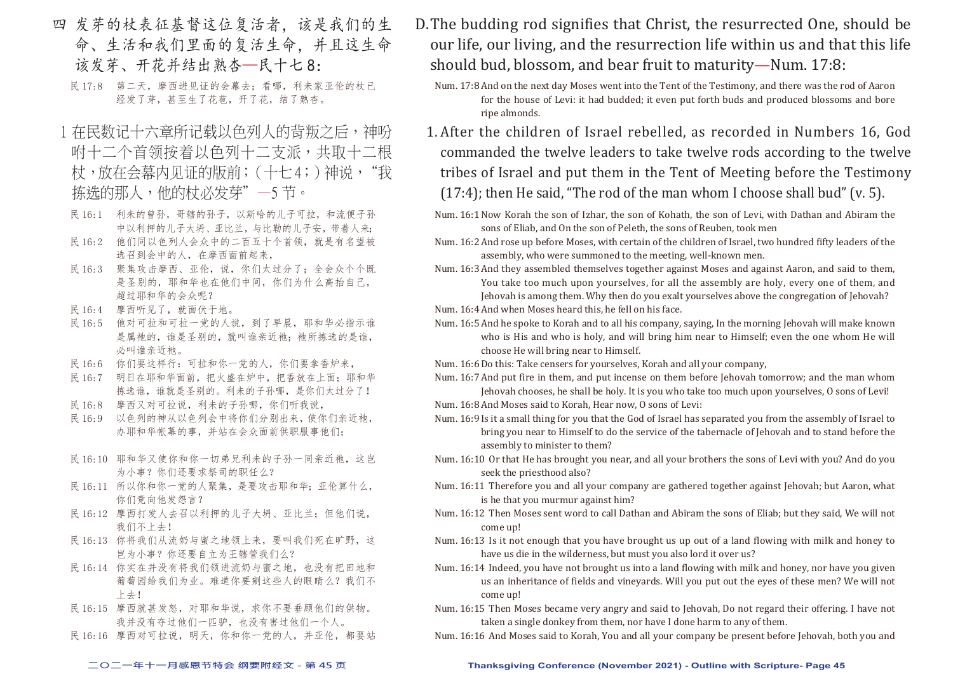- 四 发芽的杖表征基督这位复活者,该是我们的生 命、生活和我们里面的复活生命,并且这生命 该发芽、开花并结出熟杏—民十七 8:
	- 民 17:8 第二天,摩西进见证的会幕去;看哪,利未家亚伦的杖已 经发了芽,甚至生了花苞,开了花,结了熟杏。
- 1 在民数记十六章所记载以色列人的背叛之后,神吩 咐十二个首领按着以色列十二支派,共取十二根 杖,放在会幕内见证的版前;(十七4;)神说,"我 拣选的那人,他的杖必发芽"一5节。
- 民 16:1 利未的曾孙, 哥辖的孙子, 以斯哈的儿子可拉, 和流便子孙 中以利押的儿子大坍、亚比兰,与比勒的儿子安,带着人来;
- 民 16:2 他们同以色列人会众中的二百五十个首领,就是有名望被 选召到会中的人,在摩西面前起来,
- 民 16:3 聚集攻击摩西、亚伦,说,你们太过分了;全会众个个既 是圣别的,耶和华也在他们中间,你们为什么高抬自己, 超过耶和华的会众呢?
- 民 16:4 摩西听见了,就面伏于地。
- 民 16:5 他对可拉和可拉一党的人说,到了早晨,耶和华必指示谁 是属祂的,谁是圣别的,就叫谁亲近祂;祂所拣选的是谁, 必叫谁亲近祂。
- 民 16:6 你们要这样行:可拉和你一党的人,你们要拿香炉来,
- 民 16:7 明日在耶和华面前,把火盛在炉中,把香放在上面;耶和华 拣选谁,谁就是圣别的。利未的子孙哪,是你们太过分了!
- 民 16:8 摩西又对可拉说,利未的子孙哪,你们听我说,
- 民 16:9 以色列的神从以色列会中将你们分别出来, 使你们亲近祂, 办耶和华帐幕的事,并站在会众面前供职服事他们;
- 民 16:10 耶和华又使你和你一切弟兄利未的子孙一同亲近祂, 这岂 为小事?你们还要求祭司的职任么?
- 民 16:11 所以你和你一党的人聚集,是要攻击耶和华;亚伦算什么, 你们竟向他发怨言?
- 民 16:12 摩西打发人去召以利押的儿子大坍、亚比兰;但他们说, 我们不上去!
- 民 16:13 你将我们从流奶与蜜之地领上来,要叫我们死在旷野,这 岂为小事?你还要自立为王辖管我们么?
- 民 16:14 你实在并没有将我们领进流奶与蜜之地,也没有把田地和 葡萄园给我们为业。难道你要剜这些人的眼睛么?我们不 上去!
- 民 16:15 摩西就甚发怒,对耶和华说,求你不要垂顾他们的供物。 我并没有夺过他们一匹驴,也没有害过他们一个人。
- 民 16:16 摩西对可拉说,明天,你和你一党的人,并亚伦,都要站
- D. The budding rod signifies that Christ, the resurrected One, should be our life, our living, and the resurrection life within us and that this life should bud, blossom, and bear fruit to maturity—Num. 17:8:
	- Num. 17:8 And on the next day Moses went into the Tent of the Testimony, and there was the rod of Aaron for the house of Levi: it had budded; it even put forth buds and produced blossoms and bore ripe almonds.
	- 1. After the children of Israel rebelled, as recorded in Numbers 16, God commanded the twelve leaders to take twelve rods according to the twelve tribes of Israel and put them in the Tent of Meeting before the Testimony (17:4); then He said, "The rod of the man whom I choose shall bud" (v. 5).
	- Num. 16:1 Now Korah the son of Izhar, the son of Kohath, the son of Levi, with Dathan and Abiram the sons of Eliab, and On the son of Peleth, the sons of Reuben, took men
	- Num. 16:2 And rose up before Moses, with certain of the children of Israel, two hundred fifty leaders of the assembly, who were summoned to the meeting, well-known men.
	- Num. 16:3 And they assembled themselves together against Moses and against Aaron, and said to them, You take too much upon yourselves, for all the assembly are holy, every one of them, and Jehovah is among them. Why then do you exalt yourselves above the congregation of Jehovah?
	- Num. 16:4 And when Moses heard this, he fell on his face.
	- Num. 16:5 And he spoke to Korah and to all his company, saying, In the morning Jehovah will make known who is His and who is holy, and will bring him near to Himself; even the one whom He will choose He will bring near to Himself.
	- Num. 16:6 Do this: Take censers for yourselves, Korah and all your company,
	- Num. 16:7 And put fire in them, and put incense on them before Jehovah tomorrow; and the man whom Jehovah chooses, he shall be holy. It is you who take too much upon yourselves, O sons of Levi!
	- Num. 16:8 And Moses said to Korah, Hear now, O sons of Levi:
	- Num. 16:9 Is it a small thing for you that the God of Israel has separated you from the assembly of Israel to bring you near to Himself to do the service of the tabernacle of Jehovah and to stand before the assembly to minister to them?
	- Num. 16:10 Or that He has brought you near, and all your brothers the sons of Levi with you? And do you seek the priesthood also?
	- Num. 16:11 Therefore you and all your company are gathered together against Jehovah; but Aaron, what is he that you murmur against him?
	- Num. 16:12 Then Moses sent word to call Dathan and Abiram the sons of Eliab; but they said, We will not come up!
	- Num. 16:13 Is it not enough that you have brought us up out of a land flowing with milk and honey to have us die in the wilderness, but must you also lord it over us?
	- Num. 16:14 Indeed, you have not brought us into a land flowing with milk and honey, nor have you given us an inheritance of fields and vineyards. Will you put out the eyes of these men? We will not come up!
	- Num. 16:15 Then Moses became very angry and said to Jehovah, Do not regard their offering. I have not taken a single donkey from them, nor have I done harm to any of them.
	- Num. 16:16 And Moses said to Korah, You and all your company be present before Jehovah, both you and

#### **二○二一年十一月感恩节特会 纲要附经文 - 第 45 页 Thanksgiving Conference (November 2021) - Outline with Scripture- Page 45**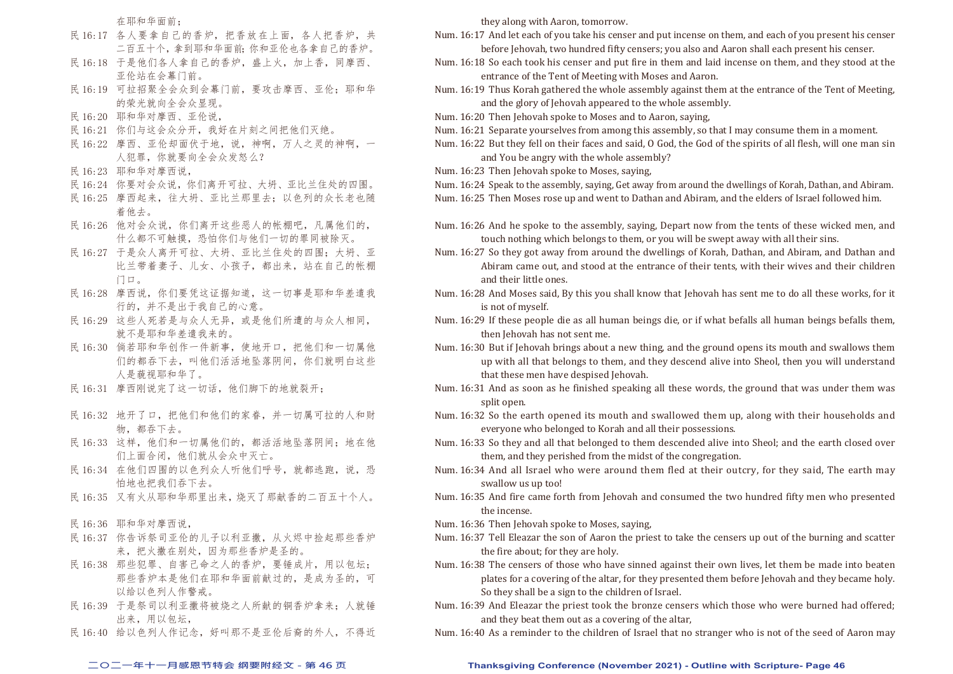在耶和华面前;

- 民 16:17 各人要拿自己的香炉,把香放在上面,各人把香炉,共 二百五十个,拿到耶和华面前;你和亚伦也各拿自己的香炉。
- 民 16:18 于是他们各人拿自己的香炉,盛上火,加上香,同摩西、 亚伦站在会幕门前。
- 民 16:19 可拉招聚全会众到会幕门前,要攻击摩西、亚伦;耶和华 的荣光就向全会众显现。
- 民 16:20 耶和华对摩西、亚伦说,
- 民 16:21 你们与这会众分开,我好在片刻之间把他们灭绝。
- 民 16:22 摩西、亚伦却面伏于地,说,神啊,万人之灵的神啊,一 人犯罪,你就要向全会众发怒么?
- 民 16:23 耶和华对摩西说,
- 民 16:24 你要对会众说,你们离开可拉、大坍、亚比兰住处的四围。
- 民 16:25 摩西起来,往大坍、亚比兰那里去;以色列的众长老也随 着他去。
- 民 16:26 他对会众说,你们离开这些恶人的帐棚吧,凡属他们的, 什么都不可触摸,恐怕你们与他们一切的罪同被除灭。
- 民 16:27 于是众人离开可拉、大坍、亚比兰住处的四围;大坍、亚 比兰带着妻子、儿女、小孩子,都出来,站在自己的帐棚 门口。
- 民 16:28 摩西说,你们要凭这证据知道,这一切事是耶和华差遣我 行的,并不是出于我自己的心意。
- 民 16:29 这些人死若是与众人无异,或是他们所遭的与众人相同, 就不是耶和华差遣我来的。
- 民 16:30 倘若耶和华创作一件新事,使地开口,把他们和一切属他 们的都吞下去,叫他们活活地坠落阴间,你们就明白这些 人是藐视耶和华了。
- 民 16:31 摩西刚说完了这一切话,他们脚下的地就裂开;
- 民 16:32 地开了口,把他们和他们的家眷,并一切属可拉的人和财 物,都吞下去。
- 民 16:33 这样, 他们和一切属他们的, 都活活地坠落阴间; 地在他 们上面合闭,他们就从会众中灭亡。
- 民 16:34 在他们四围的以色列众人听他们呼号, 就都逃跑, 说, 恐 怕地也把我们吞下去。
- 民 16:35 又有火从耶和华那里出来,烧灭了那献香的二百五十个人。
- 民 16:36 耶和华对摩西说,
- 民 16:37 你告诉祭司亚伦的儿子以利亚撒,从火烬中捡起那些香炉 来,把火撒在别处,因为那些香炉是圣的。
- 民 16:38 那些犯罪、自害己命之人的香炉,要锤成片,用以包坛; 那些香炉本是他们在耶和华面前献过的,是成为圣的,可 以给以色列人作警戒。
- 民 16:39 于是祭司以利亚撒将被烧之人所献的铜香炉拿来;人就锤 出来,用以包坛,
- 民 16:40 给以色列人作记念,好叫那不是亚伦后裔的外人,不得近

they along with Aaron, tomorrow.

- Num. 16:17 And let each of you take his censer and put incense on them, and each of you present his censer before Jehovah, two hundred fifty censers; you also and Aaron shall each present his censer.
- Num. 16:18 So each took his censer and put fire in them and laid incense on them, and they stood at the entrance of the Tent of Meeting with Moses and Aaron.
- Num. 16:19 Thus Korah gathered the whole assembly against them at the entrance of the Tent of Meeting, and the glory of Jehovah appeared to the whole assembly.
- Num. 16:20 Then Jehovah spoke to Moses and to Aaron, saying,
- Num. 16:21 Separate yourselves from among this assembly, so that I may consume them in a moment.
- Num. 16:22 But they fell on their faces and said, O God, the God of the spirits of all flesh, will one man sin and You be angry with the whole assembly?
- Num. 16:23 Then Jehovah spoke to Moses, saying,
- Num. 16:24 Speak to the assembly, saying, Get away from around the dwellings of Korah, Dathan, and Abiram. Num. 16:25 Then Moses rose up and went to Dathan and Abiram, and the elders of Israel followed him.
- Num. 16:26 And he spoke to the assembly, saying, Depart now from the tents of these wicked men, and touch nothing which belongs to them, or you will be swept away with all their sins.
- Num. 16:27 So they got away from around the dwellings of Korah, Dathan, and Abiram, and Dathan and Abiram came out, and stood at the entrance of their tents, with their wives and their children and their little ones.
- Num. 16:28 And Moses said, By this you shall know that Jehovah has sent me to do all these works, for it is not of myself.
- Num. 16:29 If these people die as all human beings die, or if what befalls all human beings befalls them, then Jehovah has not sent me.
- Num. 16:30 But if Jehovah brings about a new thing, and the ground opens its mouth and swallows them up with all that belongs to them, and they descend alive into Sheol, then you will understand that these men have despised Jehovah.
- Num. 16:31 And as soon as he finished speaking all these words, the ground that was under them was split open.
- Num. 16:32 So the earth opened its mouth and swallowed them up, along with their households and everyone who belonged to Korah and all their possessions.
- Num. 16:33 So they and all that belonged to them descended alive into Sheol; and the earth closed over them, and they perished from the midst of the congregation.
- Num. 16:34 And all Israel who were around them fled at their outcry, for they said, The earth may swallow us up too!
- Num. 16:35 And fire came forth from Jehovah and consumed the two hundred fifty men who presented the incense.
- Num. 16:36 Then Jehovah spoke to Moses, saying,
- Num. 16:37 Tell Eleazar the son of Aaron the priest to take the censers up out of the burning and scatter the fire about; for they are holy.
- Num. 16:38 The censers of those who have sinned against their own lives, let them be made into beaten plates for a covering of the altar, for they presented them before Jehovah and they became holy. So they shall be a sign to the children of Israel.
- Num. 16:39 And Eleazar the priest took the bronze censers which those who were burned had offered; and they beat them out as a covering of the altar,
- Num. 16:40 As a reminder to the children of Israel that no stranger who is not of the seed of Aaron may

#### **二○二一年十一月感恩节特会 纲要附经文 - 第 46 页 Thanksgiving Conference (November 2021) - Outline with Scripture- Page 46**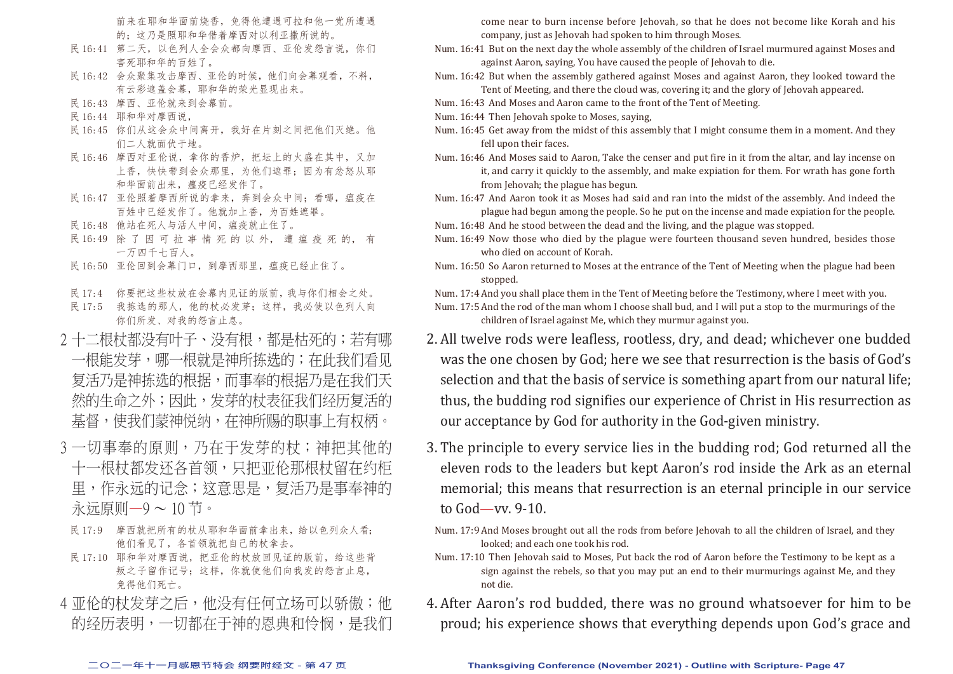前来在耶和华面前烧香,免得他遭遇可拉和他一党所遭遇 的;这乃是照耶和华借着摩西对以利亚撒所说的。

- 民 16:41 第二天, 以色列人全会众都向摩西、亚伦发怨言说, 你们 害死耶和华的百姓了。
- 民 16:42 会众聚集攻击摩西、亚伦的时候,他们向会幕观看,不料, 有云彩遮盖会幕,耶和华的荣光显现出来。
- 民 16:43 摩西、亚伦就来到会幕前。
- 民 16:44 耶和华对摩西说,
- 民 16:45 你们从这会众中间离开,我好在片刻之间把他们灭绝。他 们二人就面伏于地。
- 民 16:46 摩西对亚伦说,拿你的香炉,把坛上的火盛在其中,又加 上香,快快带到会众那里,为他们遮罪;因为有忿怒从耶 和华面前出来,瘟疫已经发作了。
- 民 16:47 亚伦照着摩西所说的拿来, 奔到会众中间; 看哪, 瘟疫在 百姓中已经发作了。他就加上香,为百姓遮罪。
- 民 16:48 他站在死人与活人中间,瘟疫就止住了。
- 民 16:49 除 了 因 可 拉 事 情 死 的 以 外, 遭 瘟 疫 死 的, 有 一万四千七百人。
- 民 16:50 亚伦回到会幕门口,到摩西那里,瘟疫已经止住了。
- 民 17:4 你要把这些杖放在会幕内见证的版前,我与你们相会之处。
- 民 17:5 我拣选的那人,他的杖必发芽;这样,我必使以色列人向 你们所发、对我的怨言止息。
- 2 十二根杖都没有叶子、没有根,都是枯死的;若有哪 一根能发芽,哪一根就是神所拣选的;在此我们看见 复活乃是神拣选的根据,而事奉的根据乃是在我们天 然的生命之外;因此,发芽的杖表征我们经历复活的 基督,使我们蒙神悦纳,在神所赐的职事上有权柄。
- 3 一切事奉的原则,乃在干发芽的杖;神把其他的 十一根杖都发还各首领,只把亚伦那根杖留在约柜 里,作永远的记念;这意思是,复活乃是事奉神的 永远原则—9 ~ 10 节。
- 民 17:9 摩西就把所有的杖从耶和华面前拿出来,给以色列众人看; 他们看见了,各首领就把自己的杖拿去。
- 民 17:10 耶和华对摩西说, 把亚伦的杖放回见证的版前, 给这些背 叛之子留作记号;这样,你就使他们向我发的怨言止息, 免得他们死亡。
- 4 亚伦的杖发芽之后,他没有任何立场可以骄傲;他 的经历表明,一切都在于神的恩典和怜悯,是我们

come near to burn incense before Jehovah, so that he does not become like Korah and his company, just as Jehovah had spoken to him through Moses.

- Num. 16:41 But on the next day the whole assembly of the children of Israel murmured against Moses and against Aaron, saying, You have caused the people of Jehovah to die.
- Num. 16:42 But when the assembly gathered against Moses and against Aaron, they looked toward the Tent of Meeting, and there the cloud was, covering it; and the glory of Jehovah appeared.
- Num. 16:43 And Moses and Aaron came to the front of the Tent of Meeting.
- Num. 16:44 Then Jehovah spoke to Moses, saying,
- Num. 16:45 Get away from the midst of this assembly that I might consume them in a moment. And they fell upon their faces.
- Num. 16:46 And Moses said to Aaron, Take the censer and put fire in it from the altar, and lay incense on it, and carry it quickly to the assembly, and make expiation for them. For wrath has gone forth from Jehovah; the plague has begun.
- Num. 16:47 And Aaron took it as Moses had said and ran into the midst of the assembly. And indeed the plague had begun among the people. So he put on the incense and made expiation for the people.
- Num. 16:48 And he stood between the dead and the living, and the plague was stopped.
- Num. 16:49 Now those who died by the plague were fourteen thousand seven hundred, besides those who died on account of Korah.
- Num. 16:50 So Aaron returned to Moses at the entrance of the Tent of Meeting when the plague had been stopped.

Num. 17:4 And you shall place them in the Tent of Meeting before the Testimony, where I meet with you.

Num. 17:5 And the rod of the man whom I choose shall bud, and I will put a stop to the murmurings of the children of Israel against Me, which they murmur against you.

- 2. All twelve rods were leafless, rootless, dry, and dead; whichever one budded was the one chosen by God; here we see that resurrection is the basis of God's selection and that the basis of service is something apart from our natural life; thus, the budding rod signifies our experience of Christ in His resurrection as our acceptance by God for authority in the God-given ministry.
- 3. The principle to every service lies in the budding rod; God returned all the eleven rods to the leaders but kept Aaron's rod inside the Ark as an eternal memorial; this means that resurrection is an eternal principle in our service to God—vv. 9-10.
- Num. 17:9 And Moses brought out all the rods from before Jehovah to all the children of Israel, and they looked; and each one took his rod.
- Num. 17:10 Then Jehovah said to Moses, Put back the rod of Aaron before the Testimony to be kept as a sign against the rebels, so that you may put an end to their murmurings against Me, and they not die.
- 4. After Aaron's rod budded, there was no ground whatsoever for him to be proud; his experience shows that everything depends upon God's grace and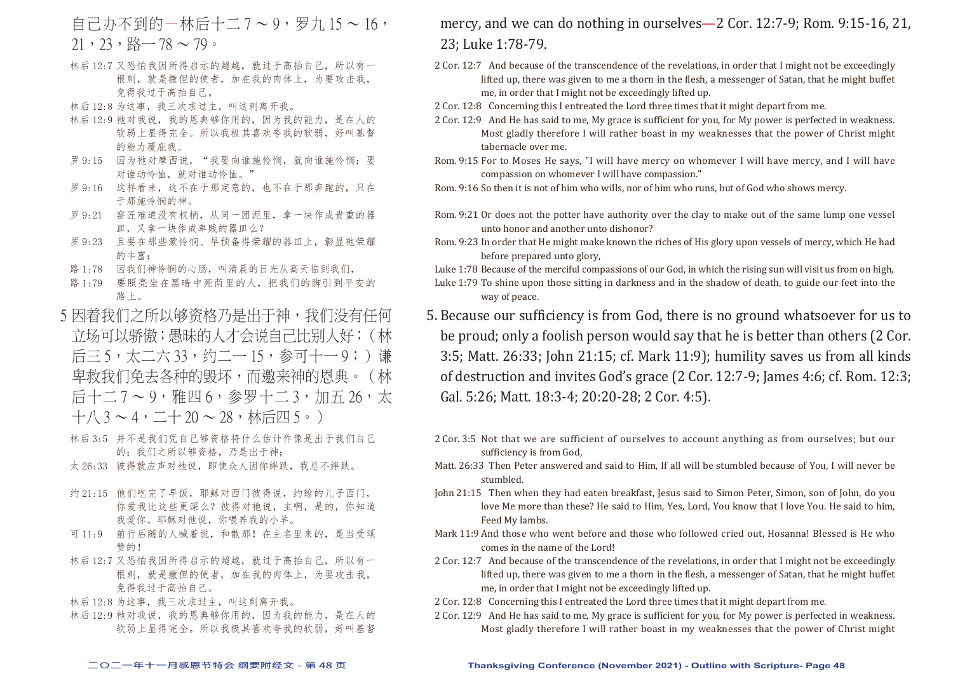- $=$  自己办不到的一林后十二  $7 \sim 9$ , 罗九  $15 \sim 16$ ,  $21,23,$   $R\rightarrow 78 \sim 79$ 。
- 林后 12:7 又恐怕我因所得启示的超越,就过于高抬自己,所以有一 根刺,就是撒但的使者,加在我的肉体上,为要攻击我, 免得我过于高抬自己。
- 林后 12:8 为这事,我三次求过主,叫这刺离开我。
- 林后 12:9 祂对我说,我的恩典够你用的,因为我的能力,是在人的 软弱上显得完全。所以我极其喜欢夸我的软弱,好叫基督 的能力覆庇我。
- 罗 9:15 因为祂对摩西说, "我要向谁施怜悯, 就向谁施怜悯; 要 对谁动怜恤,就对谁动怜恤。"
- 罗 9:16 这样看来,这不在于那定意的,也不在于那奔跑的,只在 于那施怜悯的神。
- 罗 9:21 窑匠难道没有权柄,从同一团泥里,拿一块作成贵重的器 皿,又拿一块作成卑贱的器皿么?
- 罗 9:23 且要在那些蒙怜悯、早预备得荣耀的器皿上,彰显祂荣耀 的丰富;
- 路 1:78 因我们神怜悯的心肠,叫清晨的日光从高天临到我们,
- 路 1:79 要照亮坐在黑暗中死荫里的人,把我们的脚引到平安的 路上。
- 5 因着我们之所以够资格乃是出于神,我们没有任何 立场可以骄傲;愚昧的人才会说自己比别人好;(林 后三 5,太二六 33,约二一 15,参可十一 9;)谦 卑救我们免去各种的毁坏,而邀来神的恩典。(林 后十二 7 ~ 9, 雅四 6, 参罗十二 3, 加五 26, 太  $+$ 八 3 ~ 4,二十 20 ~ 28,林后四 5。)
- 林后 3:5 并不是我们凭自己够资格将什么估计作像是出于我们自己 的;我们之所以够资格,乃是出于神;
- 太 26:33 彼得就应声对祂说,即使众人因你绊跌,我总不绊跌。
- 约 21:15 他们吃完了早饭, 耶稣对西门彼得说, 约翰的儿子西门, 你爱我比这些更深么?彼得对祂说,主啊,是的,你知道 我爱你。耶稣对他说,你喂养我的小羊。
- 可 11:9 前行后随的人喊着说,和散那!在主名里来的,是当受颂 赞的!
- 林后 12:7 又恐怕我因所得启示的超越,就过于高抬自己,所以有一 根刺,就是撒但的使者,加在我的肉体上,为要攻击我, 免得我过于高抬自己。
- 林后 12:8 为这事,我三次求过主,叫这刺离开我。
- 林后 12:9 祂对我说,我的恩典够你用的,因为我的能力,是在人的 软弱上显得完全。所以我极其喜欢夸我的软弱,好叫基督

### mercy, and we can do nothing in ourselves—2 Cor. 12:7-9; Rom. 9:15-16, 21, 23; Luke 1:78-79.

- 2 Cor. 12:7 And because of the transcendence of the revelations, in order that I might not be exceedingly lifted up, there was given to me a thorn in the flesh, a messenger of Satan, that he might buffet me, in order that I might not be exceedingly lifted up.
- 2 Cor. 12:8 Concerning this I entreated the Lord three times that it might depart from me.
- 2 Cor. 12:9 And He has said to me, My grace is sufficient for you, for My power is perfected in weakness. Most gladly therefore I will rather boast in my weaknesses that the power of Christ might tabernacle over me.
- Rom. 9:15 For to Moses He says, "I will have mercy on whomever I will have mercy, and I will have compassion on whomever I will have compassion."

Rom. 9:16 So then it is not of him who wills, nor of him who runs, but of God who shows mercy.

- Rom. 9:21 Or does not the potter have authority over the clay to make out of the same lump one vessel unto honor and another unto dishonor?
- Rom. 9:23 In order that He might make known the riches of His glory upon vessels of mercy, which He had before prepared unto glory,
- Luke 1:78 Because of the merciful compassions of our God, in which the rising sun will visit us from on high,
- Luke 1:79 To shine upon those sitting in darkness and in the shadow of death, to guide our feet into the way of peace.
- 5. Because our sufficiency is from God, there is no ground whatsoever for us to be proud; only a foolish person would say that he is better than others (2 Cor. 3:5; Matt. 26:33; John 21:15; cf. Mark 11:9); humility saves us from all kinds of destruction and invites God's grace (2 Cor. 12:7-9; James 4:6; cf. Rom. 12:3; Gal. 5:26; Matt. 18:3-4; 20:20-28; 2 Cor. 4:5).
- 2 Cor. 3:5 Not that we are sufficient of ourselves to account anything as from ourselves; but our sufficiency is from God,
- Matt. 26:33 Then Peter answered and said to Him, If all will be stumbled because of You, I will never be stumbled.
- John 21:15 Then when they had eaten breakfast, Jesus said to Simon Peter, Simon, son of John, do you love Me more than these? He said to Him, Yes, Lord, You know that I love You. He said to him, Feed My lambs.
- Mark 11:9 And those who went before and those who followed cried out, Hosanna! Blessed is He who comes in the name of the Lord!
- 2 Cor. 12:7 And because of the transcendence of the revelations, in order that I might not be exceedingly lifted up, there was given to me a thorn in the flesh, a messenger of Satan, that he might buffet me, in order that I might not be exceedingly lifted up.
- 2 Cor. 12:8 Concerning this I entreated the Lord three times that it might depart from me.
- 2 Cor. 12:9 And He has said to me, My grace is sufficient for you, for My power is perfected in weakness. Most gladly therefore I will rather boast in my weaknesses that the power of Christ might

#### **二○二一年十一月感恩节特会 纲要附经文 - 第 48 页 Thanksgiving Conference (November 2021) - Outline with Scripture- Page 48**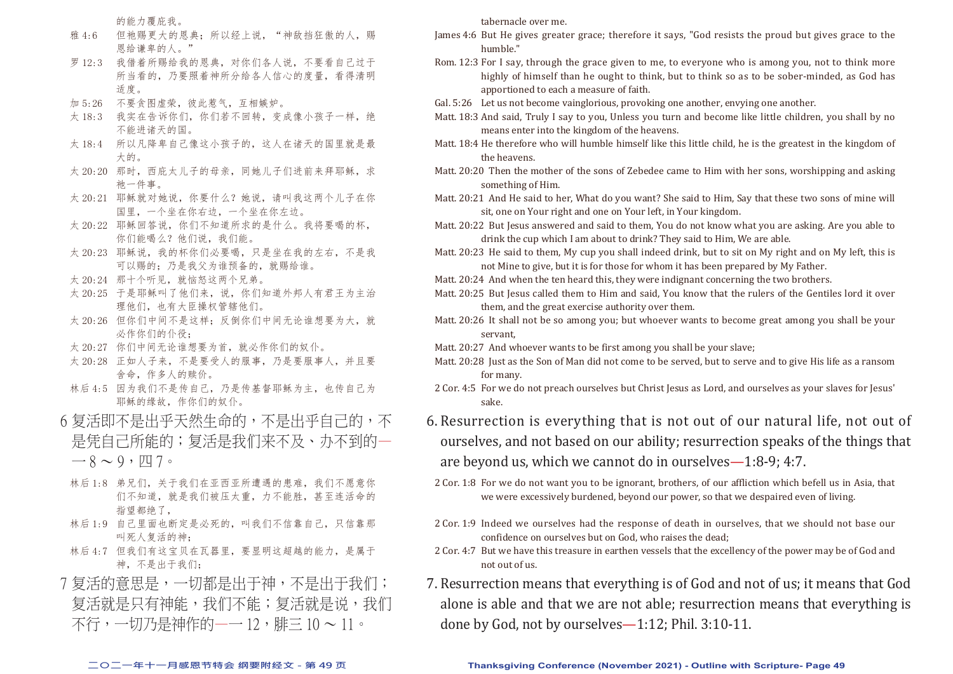的能力覆庇我。

- 雅 4:6 但祂赐更大的恩典; 所以经上说, "神敌挡狂傲的人, 赐 恩给谦卑的人。"
- 罗 12:3 我借着所赐给我的恩典,对你们各人说,不要看自己过于 所当看的,乃要照着神所分给各人信心的度量,看得清明 适度。
- 加 5:26 不要贪图虚荣,彼此惹气,互相嫉妒。
- 太 18:3 我实在告诉你们, 你们若不回转, 变成像小孩子一样, 绝 不能进诸天的国。
- 太 18:4 所以凡降卑自己像这小孩子的,这人在诸天的国里就是最 大的。
- 太 20:20 那时,西庇太儿子的母亲,同她儿子们进前来拜耶稣,求 祂一件事。
- 太 20:21 耶稣就对她说, 你要什么?她说, 请叫我这两个儿子在你 国里,一个坐在你右边,一个坐在你左边。
- 太 20:22 耶稣回答说,你们不知道所求的是什么。我将要喝的杯, 你们能喝么?他们说,我们能。
- 太 20:23 耶稣说,我的杯你们必要喝,只是坐在我的左右,不是我 可以赐的;乃是我父为谁预备的,就赐给谁。
- 太 20:24 那十个听见, 就恼怒这两个兄弟。
- 太 20:25 于是耶稣叫了他们来,说,你们知道外邦人有君王为主治 理他们,也有大臣操权管辖他们。
- 太 20:26 但你们中间不是这样;反倒你们中间无论谁想要为大,就 必作你们的仆役;
- 太 20:27 你们中间无论谁想要为首, 就必作你们的奴仆。
- 太 20:28 正如人子来,不是要受人的服事,乃是要服事人,并且要 舍命,作多人的赎价。
- 林后 4:5 因为我们不是传自己,乃是传基督耶稣为主,也传自己为 耶稣的缘故,作你们的奴仆。
- 6 复活即不是出乎余然生命的,不是出乎自己的,不 是凭自己所能的;复活是我们来不及、办不到的—  $-8 \sim 9$ ,  $\pi$  7.
- 林后 1:8 弟兄们,关于我们在亚西亚所遭遇的患难,我们不愿意你 们不知道,就是我们被压太重,力不能胜,甚至连活命的 指望都绝了,
- 林后 1:9 自己里面也断定是必死的,叫我们不信靠自己,只信靠那 叫死人复活的神;
- 林后 4:7 但我们有这宝贝在瓦器里,要显明这超越的能力,是属于 神,不是出于我们;
- 7 复活的意思是,一切都是出于神,不是出于我们; 复活就是只有神能,我们不能;复活就是说,我们 不行,一切乃是神作的—一 12,腓三 10 ~ 11。

tabernacle over me.

- James 4:6 But He gives greater grace; therefore it says, "God resists the proud but gives grace to the humble."
- Rom. 12:3 For I say, through the grace given to me, to everyone who is among you, not to think more highly of himself than he ought to think, but to think so as to be sober-minded, as God has apportioned to each a measure of faith.
- Gal. 5:26 Let us not become vainglorious, provoking one another, envying one another.
- Matt. 18:3 And said, Truly I say to you, Unless you turn and become like little children, you shall by no means enter into the kingdom of the heavens.
- Matt. 18:4 He therefore who will humble himself like this little child, he is the greatest in the kingdom of the heavens.
- Matt. 20:20 Then the mother of the sons of Zebedee came to Him with her sons, worshipping and asking something of Him.
- Matt. 20:21 And He said to her, What do you want? She said to Him, Say that these two sons of mine will sit, one on Your right and one on Your left, in Your kingdom.
- Matt. 20:22 But Jesus answered and said to them, You do not know what you are asking. Are you able to drink the cup which I am about to drink? They said to Him, We are able.
- Matt. 20:23 He said to them, My cup you shall indeed drink, but to sit on My right and on My left, this is not Mine to give, but it is for those for whom it has been prepared by My Father.
- Matt. 20:24 And when the ten heard this, they were indignant concerning the two brothers.
- Matt. 20:25 But Jesus called them to Him and said, You know that the rulers of the Gentiles lord it over them, and the great exercise authority over them.
- Matt. 20:26 It shall not be so among you; but whoever wants to become great among you shall be your servant,
- Matt. 20:27 And whoever wants to be first among you shall be your slave;
- Matt. 20:28 Just as the Son of Man did not come to be served, but to serve and to give His life as a ransom for many.
- 2 Cor. 4:5 For we do not preach ourselves but Christ Jesus as Lord, and ourselves as your slaves for Jesus' sake.
- 6. Resurrection is everything that is not out of our natural life, not out of ourselves, and not based on our ability; resurrection speaks of the things that are beyond us, which we cannot do in ourselves—1:8-9; 4:7.
- 2 Cor. 1:8 For we do not want you to be ignorant, brothers, of our affliction which befell us in Asia, that we were excessively burdened, beyond our power, so that we despaired even of living.
- 2 Cor. 1:9 Indeed we ourselves had the response of death in ourselves, that we should not base our confidence on ourselves but on God, who raises the dead;
- 2 Cor. 4:7 But we have this treasure in earthen vessels that the excellency of the power may be of God and not out of us.
- 7. Resurrection means that everything is of God and not of us; it means that God alone is able and that we are not able; resurrection means that everything is done by God, not by ourselves—1:12; Phil. 3:10-11.